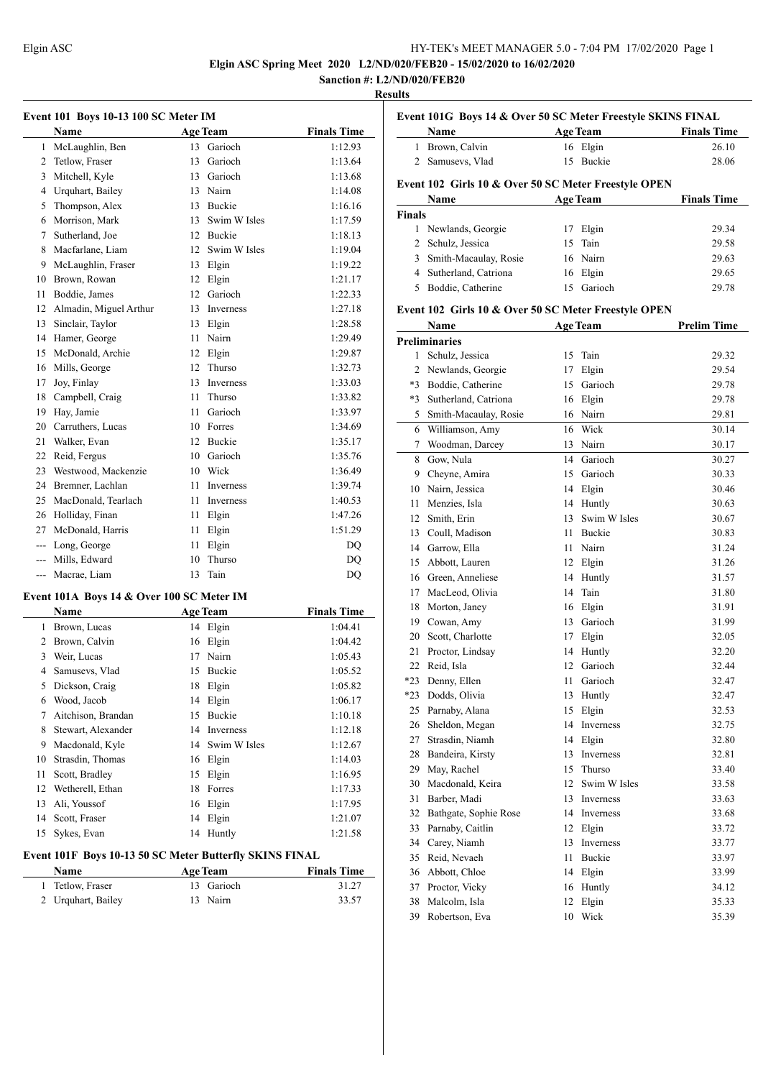**Elgin ASC Spring Meet 2020 L2/ND/020/FEB20 - 15/02/2020 to 16/02/2020**

# **Sanction #: L2/ND/020/FEB20**

# **Results**

| Event 101 Boys 10-13 100 SC Meter IM |                        |    |                  |                    |  |  |
|--------------------------------------|------------------------|----|------------------|--------------------|--|--|
|                                      | <b>Name</b>            |    | <b>Age Team</b>  | <b>Finals Time</b> |  |  |
| 1                                    | McLaughlin, Ben        | 13 | Garioch          | 1:12.93            |  |  |
| $\overline{2}$                       | Tetlow, Fraser         | 13 | Garioch          | 1:13.64            |  |  |
| 3                                    | Mitchell, Kyle         | 13 | Garioch          | 1:13.68            |  |  |
| $\overline{4}$                       | Urquhart, Bailey       | 13 | Nairn            | 1:14.08            |  |  |
| 5                                    | Thompson, Alex         | 13 | <b>Buckie</b>    | 1:16.16            |  |  |
| 6                                    | Morrison, Mark         | 13 | Swim W Isles     | 1:17.59            |  |  |
| 7                                    | Sutherland, Joe        | 12 | <b>Buckie</b>    | 1:18.13            |  |  |
| 8                                    | Macfarlane, Liam       | 12 | Swim W Isles     | 1:19.04            |  |  |
| 9                                    | McLaughlin, Fraser     | 13 | Elgin            | 1:19.22            |  |  |
| 10                                   | Brown, Rowan           | 12 | Elgin            | 1:21.17            |  |  |
| 11                                   | Boddie, James          | 12 | Garioch          | 1:22.33            |  |  |
| 12                                   | Almadin, Miguel Arthur | 13 | Inverness        | 1:27.18            |  |  |
| 13                                   | Sinclair, Taylor       | 13 | Elgin            | 1:28.58            |  |  |
| 14                                   | Hamer, George          | 11 | Nairn            | 1:29.49            |  |  |
| 15                                   | McDonald, Archie       | 12 | Elgin            | 1:29.87            |  |  |
| 16                                   | Mills, George          | 12 | Thurso           | 1:32.73            |  |  |
| 17                                   | Joy, Finlay            | 13 | <b>Inverness</b> | 1:33.03            |  |  |
| 18                                   | Campbell, Craig        | 11 | Thurso           | 1:33.82            |  |  |
| 19                                   | Hay, Jamie             | 11 | Garioch          | 1:33.97            |  |  |
| 20                                   | Carruthers, Lucas      | 10 | Forres           | 1:34.69            |  |  |
| 21                                   | Walker, Evan           | 12 | <b>Buckie</b>    | 1:35.17            |  |  |
| 22                                   | Reid, Fergus           | 10 | Garioch          | 1:35.76            |  |  |
| 23                                   | Westwood, Mackenzie    | 10 | Wick             | 1:36.49            |  |  |
| 24                                   | Bremner, Lachlan       | 11 | <b>Inverness</b> | 1:39.74            |  |  |
| 25                                   | MacDonald, Tearlach    | 11 | Inverness        | 1:40.53            |  |  |
| 26                                   | Holliday, Finan        | 11 | Elgin            | 1:47.26            |  |  |
| 27                                   | McDonald, Harris       | 11 | Elgin            | 1:51.29            |  |  |
| ---                                  | Long, George           | 11 | Elgin            | DO                 |  |  |
| ---                                  | Mills, Edward          | 10 | Thurso           | DQ                 |  |  |
| ---                                  | Macrae, Liam           | 13 | Tain             | DQ                 |  |  |

# **Event 101A Boys 14 & Over 100 SC Meter IM**

|    | Name               | <b>Age Team</b> | <b>Finals Time</b> |         |
|----|--------------------|-----------------|--------------------|---------|
| 1  | Brown, Lucas       |                 | 14 Elgin           | 1:04.41 |
| 2  | Brown, Calvin      | 16              | Elgin              | 1:04.42 |
| 3  | Weir, Lucas        | 17              | Nairn              | 1:05.43 |
| 4  | Samusevs, Vlad     | 15              | Buckie             | 1:05.52 |
| 5  | Dickson, Craig     | 18              | Elgin              | 1:05.82 |
| 6  | Wood, Jacob        | 14              | Elgin              | 1:06.17 |
| 7  | Aitchison, Brandan | 15              | Buckie             | 1:10.18 |
| 8  | Stewart, Alexander | 14              | Inverness          | 1:12.18 |
| 9  | Macdonald, Kyle    | 14              | Swim W Isles       | 1:12.67 |
| 10 | Strasdin, Thomas   |                 | 16 Elgin           | 1:14.03 |
| 11 | Scott, Bradley     | 15              | Elgin              | 1:16.95 |
| 12 | Wetherell, Ethan   | 18              | Forres             | 1:17.33 |
| 13 | Ali, Youssof       | 16              | Elgin              | 1:17.95 |
| 14 | Scott, Fraser      | 14              | Elgin              | 1:21.07 |
| 15 | Sykes, Evan        | 14              | Huntly             | 1:21.58 |

# **Event 101F Boys 10-13 50 SC Meter Butterfly SKINS FINAL**

| <b>Name</b>        | <b>Age Team</b> | <b>Finals Time</b> |
|--------------------|-----------------|--------------------|
| 1 Tetlow, Fraser   | 13 Garioch      | 31.27              |
| 2 Urguhart, Bailey | 13 Nairn        | 33.57              |

# **Event 101G Boys 14 & Over 50 SC Meter Freestyle SKINS FINAL**

| <b>Name</b>      | <b>Age Team</b> | <b>Finals Time</b> |
|------------------|-----------------|--------------------|
| 1 Brown, Calvin  | 16 Elgin        | 26.10              |
| 2 Samusevs, Vlad | 15 Buckie       | 28.06              |

# **Event 102 Girls 10 & Over 50 SC Meter Freestyle OPEN**

| Name          |                         | <b>Age Team</b> |            | <b>Finals Time</b> |  |
|---------------|-------------------------|-----------------|------------|--------------------|--|
| <b>Finals</b> |                         |                 |            |                    |  |
|               | 1 Newlands, Georgie     |                 | Elgin      | 29.34              |  |
|               | 2 Schulz, Jessica       |                 | 15 Tain    | 29.58              |  |
|               | 3 Smith-Macaulay, Rosie |                 | 16 Nairn   | 29.63              |  |
|               | 4 Sutherland, Catriona  |                 | 16 Elgin   | 29.65              |  |
|               | Boddie, Catherine       |                 | 15 Garioch | 29.78              |  |

# **Event 102 Girls 10 & Over 50 SC Meter Freestyle OPEN**

|       | Name                  |    | <b>Age Team</b>  | <b>Prelim Time</b> |
|-------|-----------------------|----|------------------|--------------------|
|       | <b>Preliminaries</b>  |    |                  |                    |
| 1     | Schulz, Jessica       | 15 | Tain             | 29.32              |
|       | 2 Newlands, Georgie   | 17 | Elgin            | 29.54              |
|       | *3 Boddie, Catherine  | 15 | Garioch          | 29.78              |
| $*3$  | Sutherland, Catriona  | 16 | Elgin            | 29.78              |
| 5     | Smith-Macaulay, Rosie |    | 16 Nairn         | 29.81              |
| 6     | Williamson, Amy       | 16 | Wick             | 30.14              |
| 7     | Woodman, Darcey       | 13 | Nairn            | 30.17              |
| 8     | Gow, Nula             | 14 | Garioch          | 30.27              |
| 9     | Cheyne, Amira         | 15 | Garioch          | 30.33              |
|       | 10 Nairn, Jessica     | 14 | Elgin            | 30.46              |
| 11    | Menzies, Isla         | 14 | Huntly           | 30.63              |
| 12    | Smith, Erin           | 13 | Swim W Isles     | 30.67              |
| 13    | Coull, Madison        | 11 | Buckie           | 30.83              |
|       | 14 Garrow, Ella       | 11 | Nairn            | 31.24              |
| 15    | Abbott, Lauren        | 12 | Elgin            | 31.26              |
|       | 16 Green, Anneliese   |    | 14 Huntly        | 31.57              |
|       | 17 MacLeod, Olivia    | 14 | Tain             | 31.80              |
| 18    | Morton, Janey         | 16 | Elgin            | 31.91              |
|       | 19 Cowan, Amy         | 13 | Garioch          | 31.99              |
| 20    | Scott, Charlotte      | 17 | Elgin            | 32.05              |
| 21    | Proctor, Lindsay      | 14 | Huntly           | 32.20              |
| 22    | Reid, Isla            | 12 | Garioch          | 32.44              |
| $*23$ | Denny, Ellen          | 11 | Garioch          | 32.47              |
| $*23$ | Dodds, Olivia         | 13 | Huntly           | 32.47              |
| 25    | Parnaby, Alana        | 15 | Elgin            | 32.53              |
|       | 26 Sheldon, Megan     | 14 | <b>Inverness</b> | 32.75              |
|       | 27 Strasdin, Niamh    | 14 | Elgin            | 32.80              |
| 28    | Bandeira, Kirsty      | 13 | Inverness        | 32.81              |
| 29    | May, Rachel           | 15 | Thurso           | 33.40              |
| 30    | Macdonald, Keira      | 12 | Swim W Isles     | 33.58              |
| 31    | Barber, Madi          | 13 | Inverness        | 33.63              |
| 32    | Bathgate, Sophie Rose | 14 | Inverness        | 33.68              |
| 33    | Parnaby, Caitlin      | 12 | Elgin            | 33.72              |
| 34    | Carey, Niamh          | 13 | Inverness        | 33.77              |
| 35    | Reid, Nevaeh          | 11 | Buckie           | 33.97              |
| 36    | Abbott, Chloe         | 14 | Elgin            | 33.99              |
| 37    | Proctor, Vicky        | 16 | Huntly           | 34.12              |
| 38    | Malcolm, Isla         | 12 | Elgin            | 35.33              |
| 39    | Robertson, Eva        | 10 | Wick             | 35.39              |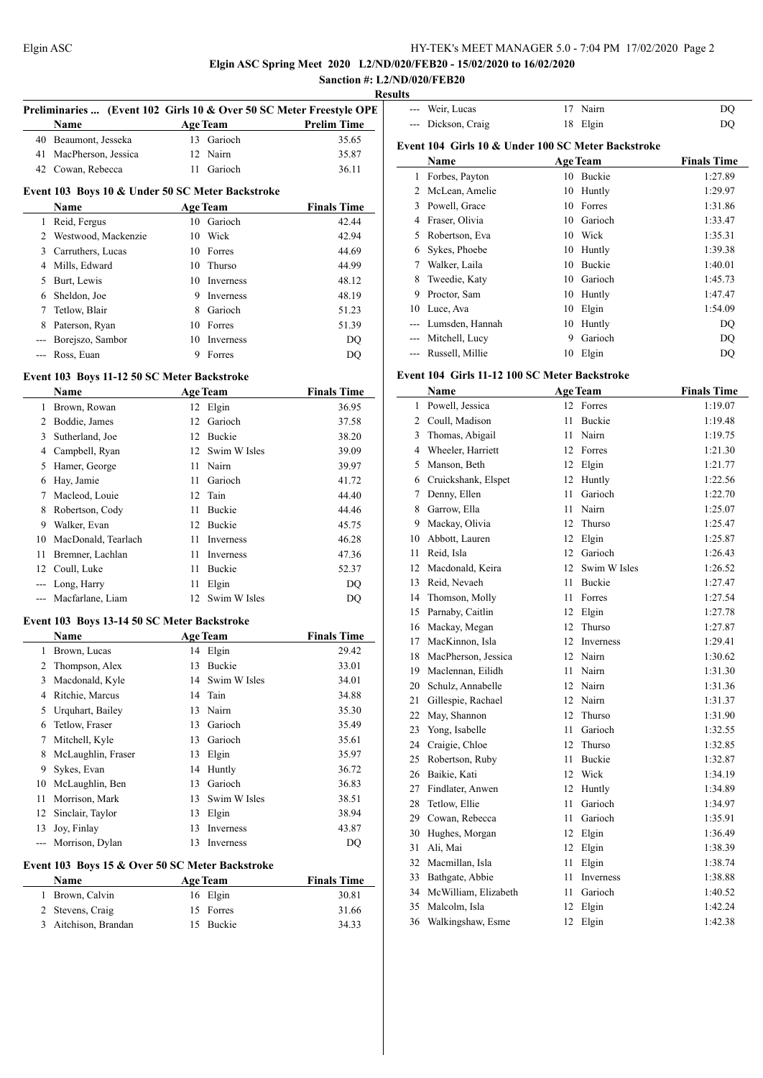# **Elgin ASC Spring Meet 2020 L2/ND/020/FEB20 - 15/02/2020 to 16/02/2020 Sanction #: L2/ND/020/FEB20**

# **Results**

|               | Preliminaries  (Event 102 Girls 10 & Over 50 SC Meter Freestyle OPE<br>Name |      | <b>Age Team</b> | <b>Prelim Time</b> |
|---------------|-----------------------------------------------------------------------------|------|-----------------|--------------------|
|               | 40 Beaumont, Jesseka                                                        |      | 13 Garioch      | 35.65              |
|               | 41 MacPherson, Jessica                                                      |      | 12 Nairn        | 35.87              |
|               | 42 Cowan, Rebecca                                                           |      | 11 Garioch      | 36.11              |
|               |                                                                             |      |                 |                    |
|               | Event 103 Boys 10 & Under 50 SC Meter Backstroke<br>Name                    |      | <b>Age Team</b> | <b>Finals Time</b> |
|               | 1 Reid, Fergus                                                              |      | 10 Garioch      | 42.44              |
|               | 2 Westwood, Mackenzie                                                       |      | 10 Wick         | 42.94              |
|               | 3 Carruthers, Lucas                                                         |      | 10 Forres       | 44.69              |
|               | 4 Mills, Edward                                                             |      | 10 Thurso       | 44.99              |
|               | 5 Burt, Lewis                                                               |      | 10 Inverness    | 48.12              |
|               | 6 Sheldon, Joe                                                              |      | 9 Inverness     | 48.19              |
|               | 7 Tetlow, Blair                                                             |      | 8 Garioch       | 51.23              |
| 8             | Paterson, Ryan                                                              |      | 10 Forres       | 51.39              |
|               | --- Borejszo, Sambor                                                        |      | 10 Inverness    | DQ                 |
|               | --- Ross, Euan                                                              | 9    | Forres          | DQ                 |
|               |                                                                             |      |                 |                    |
|               | Event 103 Boys 11-12 50 SC Meter Backstroke                                 |      |                 |                    |
|               | Name                                                                        |      | <b>Age Team</b> | <b>Finals Time</b> |
|               | 1 Brown, Rowan                                                              |      | 12 Elgin        | 36.95              |
|               | 2 Boddie, James                                                             |      | 12 Garioch      | 37.58              |
|               | 3 Sutherland, Joe                                                           |      | 12 Buckie       | 38.20              |
|               | 4 Campbell, Ryan                                                            |      | 12 Swim W Isles | 39.09              |
|               | 5 Hamer, George                                                             |      | 11 Nairn        | 39.97              |
|               | 6 Hay, Jamie                                                                | 11 - | Garioch         | 41.72              |
|               | 7 Macleod, Louie                                                            |      | 12 Tain         | 44.40              |
|               | 8 Robertson, Cody                                                           | 11   | Buckie          | 44.46              |
|               | 9 Walker, Evan                                                              |      | 12 Buckie       | 45.75              |
|               | 10 MacDonald, Tearlach                                                      |      | 11 Inverness    | 46.28              |
| 11            | Bremner, Lachlan                                                            | 11   | Inverness       | 47.36              |
|               | 12 Coull, Luke                                                              | 11   | Buckie          | 52.37              |
|               | --- Long, Harry                                                             | 11   | Elgin           | DQ                 |
|               | --- Macfarlane, Liam                                                        |      | 12 Swim W Isles | DQ                 |
|               | Event 103 Boys 13-14 50 SC Meter Backstroke                                 |      |                 |                    |
|               | Name                                                                        |      | <b>Age Team</b> | <b>Finals Time</b> |
| 1             | Brown, Lucas                                                                |      | 14 Elgin        | 29.42              |
|               | 2 Thompson, Alex                                                            |      | 13 Buckie       | 33.01              |
| 3             | Macdonald, Kyle                                                             | 14   | Swim W Isles    | 34.01              |
|               | 4 Ritchie, Marcus                                                           | 14   | Tain            | 34.88              |
|               | 5 Urquhart, Bailey                                                          | 13   | Nairn           | 35.30              |
|               | 6 Tetlow, Fraser                                                            | 13   | Garioch         | 35.49              |
|               | 7 Mitchell, Kyle                                                            | 13   | Garioch         | 35.61              |
|               | 8 McLaughlin, Fraser                                                        |      | 13 Elgin        | 35.97              |
| 9.            | Sykes, Evan                                                                 |      | 14 Huntly       | 36.72              |
|               | 10 McLaughlin, Ben                                                          |      | 13 Garioch      | 36.83              |
| 11            | Morrison, Mark                                                              | 13   | Swim W Isles    | 38.51              |
|               | 12 Sinclair, Taylor                                                         | 13   | Elgin           | 38.94              |
| 13            | Joy, Finlay                                                                 | 13   | Inverness       | 43.87              |
| $\frac{1}{2}$ | Morrison, Dylan                                                             | 13   | Inverness       | DQ                 |
|               | Event 103 Boys 15 & Over 50 SC Meter Backstroke                             |      |                 |                    |
|               | Name                                                                        |      | <b>Age Team</b> | <b>Finals Time</b> |
| 1             | Brown, Calvin                                                               |      | 16 Elgin        | 30.81              |
| 2             | Stevens, Craig                                                              |      | 15 Forres       | 31.66              |

Aitchison, Brandan 15 Buckie 34.33

| uns                                                |                 |    |                 |                    |  |  |  |  |
|----------------------------------------------------|-----------------|----|-----------------|--------------------|--|--|--|--|
| $---$                                              | Weir, Lucas     | 17 | Nairn           | DO                 |  |  |  |  |
|                                                    | Dickson, Craig  | 18 | Elgin           | DO                 |  |  |  |  |
| Event 104 Girls 10 & Under 100 SC Meter Backstroke |                 |    |                 |                    |  |  |  |  |
|                                                    | Name            |    | <b>Age Team</b> | <b>Finals Time</b> |  |  |  |  |
| 1                                                  | Forbes, Payton  | 10 | <b>Buckie</b>   | 1:27.89            |  |  |  |  |
| 2                                                  | McLean, Amelie  | 10 | Huntly          | 1:29.97            |  |  |  |  |
| 3                                                  | Powell, Grace   | 10 | Forres          | 1:31.86            |  |  |  |  |
| 4                                                  | Fraser, Olivia  | 10 | Garioch         | 1:33.47            |  |  |  |  |
| 5                                                  | Robertson, Eva  | 10 | Wick            | 1:35.31            |  |  |  |  |
| 6                                                  | Sykes, Phoebe   | 10 | Huntly          | 1:39.38            |  |  |  |  |
| 7                                                  | Walker, Laila   | 10 | <b>Buckie</b>   | 1:40.01            |  |  |  |  |
| 8                                                  | Tweedie, Katy   | 10 | Garioch         | 1:45.73            |  |  |  |  |
| 9                                                  | Proctor, Sam    | 10 | Huntly          | 1:47.47            |  |  |  |  |
| 10                                                 | Luce, Ava       | 10 | Elgin           | 1:54.09            |  |  |  |  |
| $---$                                              | Lumsden, Hannah | 10 | Huntly          | DO                 |  |  |  |  |
|                                                    | Mitchell, Lucy  | 9  | Garioch         | DO                 |  |  |  |  |
|                                                    | Russell, Millie | 10 | Elgin           | DQ                 |  |  |  |  |

# **Event 104 Girls 11-12 100 SC Meter Backstroke**

| Name                 |    |               | <b>Finals Time</b> |
|----------------------|----|---------------|--------------------|
| Powell, Jessica      | 12 | Forres        | 1:19.07            |
| Coull, Madison       | 11 | Buckie        | 1:19.48            |
| Thomas, Abigail      | 11 | Nairn         | 1:19.75            |
| Wheeler, Harriett    | 12 | Forres        | 1:21.30            |
| Manson, Beth         | 12 | Elgin         | 1:21.77            |
| Cruickshank, Elspet  | 12 | Huntly        | 1:22.56            |
| Denny, Ellen         | 11 | Garioch       | 1:22.70            |
| Garrow, Ella         | 11 | Nairn         | 1:25.07            |
| Mackay, Olivia       | 12 | Thurso        | 1:25.47            |
| Abbott, Lauren       | 12 | Elgin         | 1:25.87            |
| Reid, Isla           | 12 | Garioch       | 1:26.43            |
| Macdonald, Keira     | 12 | Swim W Isles  | 1:26.52            |
| Reid, Nevaeh         | 11 | <b>Buckie</b> | 1:27.47            |
| Thomson, Molly       | 11 | Forres        | 1:27.54            |
| Parnaby, Caitlin     | 12 | Elgin         | 1:27.78            |
| Mackay, Megan        | 12 | Thurso        | 1:27.87            |
| MacKinnon, Isla      | 12 | Inverness     | 1:29.41            |
| MacPherson, Jessica  | 12 | Nairn         | 1:30.62            |
| Maclennan, Eilidh    | 11 | Nairn         | 1:31.30            |
| Schulz, Annabelle    | 12 | Nairn         | 1:31.36            |
| Gillespie, Rachael   | 12 | Nairn         | 1:31.37            |
| May, Shannon         | 12 | Thurso        | 1:31.90            |
| Yong, Isabelle       | 11 | Garioch       | 1:32.55            |
| Craigie, Chloe       | 12 | Thurso        | 1:32.85            |
| Robertson, Ruby      | 11 | <b>Buckie</b> | 1:32.87            |
| Baikie, Kati         | 12 | Wick          | 1:34.19            |
| Findlater, Anwen     | 12 | Huntly        | 1:34.89            |
| Tetlow, Ellie        | 11 | Garioch       | 1:34.97            |
| Cowan, Rebecca       | 11 | Garioch       | 1:35.91            |
| Hughes, Morgan       | 12 | Elgin         | 1:36.49            |
| Ali, Mai             | 12 | Elgin         | 1:38.39            |
| Macmillan, Isla      | 11 | Elgin         | 1:38.74            |
| Bathgate, Abbie      | 11 | Inverness     | 1:38.88            |
| McWilliam, Elizabeth | 11 | Garioch       | 1:40.52            |
| Malcolm, Isla        | 12 | Elgin         | 1:42.24            |
| Walkingshaw, Esme    | 12 | Elgin         | 1:42.38            |
|                      |    |               | <b>Age Team</b>    |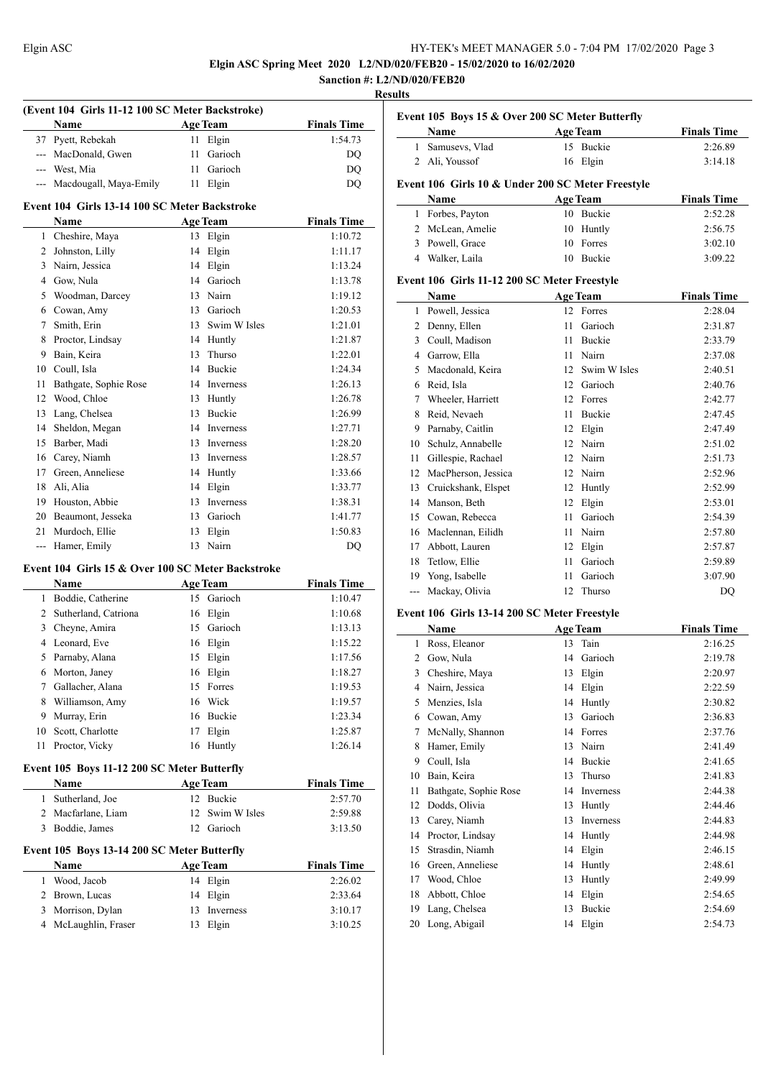**Elgin ASC Spring Meet 2020 L2/ND/020/FEB20 - 15/02/2020 to 16/02/2020**

#### **Sanction #: L2/ND/020/FEB20 Results**

 $\overline{\phantom{a}}$ 

|                | (Event 104 Girls 11-12 100 SC Meter Backstroke)<br>Name |    | Age Team        | <b>Finals Time</b> |
|----------------|---------------------------------------------------------|----|-----------------|--------------------|
| 37             | Pyett, Rebekah                                          | 11 | Elgin           | 1:54.73            |
|                | --- MacDonald, Gwen                                     | 11 | Garioch         | DQ                 |
|                | --- West, Mia                                           |    | 11 Garioch      | DQ                 |
|                | --- Macdougall, Maya-Emily                              |    | 11 Elgin        | DQ                 |
|                | Event 104 Girls 13-14 100 SC Meter Backstroke           |    |                 |                    |
|                | <b>Name</b>                                             |    | <b>Age Team</b> | <b>Finals Time</b> |
|                | 1 Cheshire, Maya                                        |    | 13 Elgin        | 1:10.72            |
| 2              | Johnston, Lilly                                         |    | 14 Elgin        | 1:11.17            |
| 3              | Nairn, Jessica                                          |    | 14 Elgin        | 1:13.24            |
|                | 4 Gow, Nula                                             |    | 14 Garioch      | 1:13.78            |
|                | 5 Woodman, Darcey                                       |    | 13 Nairn        | 1:19.12            |
|                | 6 Cowan, Amy                                            |    | 13 Garioch      | 1:20.53            |
| 7              | Smith, Erin                                             |    | 13 Swim W Isles | 1:21.01            |
| 8              | Proctor, Lindsay                                        |    | 14 Huntly       | 1:21.87            |
| 9              | Bain, Keira                                             |    | 13 Thurso       | 1:22.01            |
|                | 10 Coull, Isla                                          |    | 14 Buckie       | 1:24.34            |
| 11             | Bathgate, Sophie Rose                                   |    | 14 Inverness    | 1:26.13            |
| 12             | Wood, Chloe                                             |    | 13 Huntly       | 1:26.78            |
| 13             | Lang, Chelsea                                           |    | 13 Buckie       | 1:26.99            |
| 14             | Sheldon, Megan                                          |    | 14 Inverness    | 1:27.71            |
| 15             | Barber, Madi                                            |    | 13 Inverness    | 1:28.20            |
| 16             | Carey, Niamh                                            |    | 13 Inverness    | 1:28.57            |
| 17             | Green, Anneliese                                        |    | 14 Huntly       | 1:33.66            |
| 18             | Ali, Alia                                               |    | 14 Elgin        | 1:33.77            |
| 19             | Houston, Abbie                                          |    | 13 Inverness    | 1:38.31            |
| 20             | Beaumont, Jesseka                                       |    | 13 Garioch      | 1:41.77            |
| 21             | Murdoch, Ellie                                          | 13 | Elgin           | 1:50.83            |
|                | --- Hamer, Emily                                        | 13 | Nairn           | DQ                 |
|                | Event 104 Girls 15 & Over 100 SC Meter Backstroke       |    |                 |                    |
|                | Name                                                    |    | <b>Age Team</b> | <b>Finals Time</b> |
|                | 1 Boddie, Catherine                                     |    | 15 Garioch      | 1:10.47            |
| $\overline{2}$ | Sutherland, Catriona                                    |    | 16 Elgin        | 1:10.68            |
| 3              | Cheyne, Amira                                           |    | 15 Garioch      | 1:13.13            |
| 4              | Leonard, Eve                                            |    | 16 Elgin        | 1:15.22            |
| 5              | Parnaby, Alana                                          | 15 | Elgin           | 1:17.56            |
| 6              | Morton, Janey                                           | 16 | Elgin           | 1:18.27            |
| 7              | Gallacher, Alana                                        | 15 | Forres          | 1:19.53            |
| 8              | Williamson, Amy                                         | 16 | Wick            | 1:19.57            |
| 9              | Murray, Erin                                            | 16 | Buckie          | 1:23.34            |
| 10             | Scott, Charlotte                                        | 17 | Elgin           | 1:25.87            |
| 11             | Proctor, Vicky                                          | 16 | Huntly          | 1:26.14            |
|                |                                                         |    |                 |                    |

# **Event 105 Boys 11-12 200 SC Meter Butterfly**

| <b>Name</b>        | <b>Age Team</b> | <b>Finals Time</b> |
|--------------------|-----------------|--------------------|
| 1 Sutherland, Joe  | 12 Buckie       | 2:57.70            |
| 2 Macfarlane, Liam | 12 Swim W Isles | 2:59.88            |
| 3 Boddie, James    | 12 Garioch      | 3:13.50            |

# **Event 105 Boys 13-14 200 SC Meter Butterfly**

| <b>Name</b>          | <b>Age Team</b> | <b>Finals Time</b> |
|----------------------|-----------------|--------------------|
| Wood, Jacob          | 14 Elgin        | 2:26.02            |
| 2 Brown, Lucas       | 14 Elgin        | 2:33.64            |
| 3 Morrison, Dylan    | 13 Inverness    | 3:10.17            |
| 4 McLaughlin, Fraser | 13 Elgin        | 3:10.25            |

| Event 105 Boys 15 & Over 200 SC Meter Butterfly |                  |                                                   |                    |  |  |
|-------------------------------------------------|------------------|---------------------------------------------------|--------------------|--|--|
|                                                 | Name             | <b>Age Team</b>                                   | <b>Finals Time</b> |  |  |
|                                                 | Samusevs, Vlad   | 15 Buckie                                         | 2:26.89            |  |  |
|                                                 | 2 Ali, Youssof   | 16 Elgin                                          | 3:14.18            |  |  |
|                                                 |                  | Event 106 Girls 10 & Under 200 SC Meter Freestyle |                    |  |  |
|                                                 | Name             | <b>Age Team</b>                                   | <b>Finals Time</b> |  |  |
| L                                               | Forbes, Payton   | <b>Buckie</b><br>10                               | 2:52.28            |  |  |
|                                                 | 2 McLean, Amelie | Huntly<br>10                                      | 2:56.75            |  |  |
|                                                 | Powell, Grace    | Forres                                            | 3:02.10            |  |  |

Walker, Laila 10 Buckie 3:09.22

#### **Event 106 Girls 11-12 200 SC Meter Freestyle**

|       | Name                |    | <b>Age Team</b> | <b>Finals Time</b> |
|-------|---------------------|----|-----------------|--------------------|
| 1     | Powell, Jessica     |    | 12 Forres       | 2:28.04            |
| 2     | Denny, Ellen        | 11 | Garioch         | 2:31.87            |
| 3     | Coull, Madison      | 11 | Buckie          | 2:33.79            |
| 4     | Garrow, Ella        | 11 | Nairn           | 2:37.08            |
| 5     | Macdonald, Keira    | 12 | Swim W Isles    | 2:40.51            |
| 6     | Reid, Isla          | 12 | Garioch         | 2:40.76            |
| 7     | Wheeler, Harriett   | 12 | Forres          | 2:42.77            |
| 8     | Reid, Nevaeh        | 11 | Buckie          | 2:47.45            |
| 9     | Parnaby, Caitlin    | 12 | Elgin           | 2:47.49            |
| 10    | Schulz, Annabelle   | 12 | Nairn           | 2:51.02            |
| 11    | Gillespie, Rachael  | 12 | Nairn           | 2:51.73            |
| 12    | MacPherson, Jessica | 12 | Nairn           | 2:52.96            |
| 13    | Cruickshank, Elspet | 12 | Huntly          | 2:52.99            |
| 14    | Manson, Beth        | 12 | Elgin           | 2:53.01            |
| 15    | Cowan, Rebecca      | 11 | Garioch         | 2:54.39            |
| 16    | Maclennan, Eilidh   | 11 | Nairn           | 2:57.80            |
| 17    | Abbott, Lauren      | 12 | Elgin           | 2:57.87            |
| 18    | Tetlow, Ellie       | 11 | Garioch         | 2:59.89            |
| 19    | Yong, Isabelle      | 11 | Garioch         | 3:07.90            |
| $---$ | Mackay, Olivia      | 12 | Thurso          | DQ                 |

#### **Event 106 Girls 13-14 200 SC Meter Freestyle**

|    | Name                  |    | <b>Age Team</b>  | <b>Finals Time</b> |
|----|-----------------------|----|------------------|--------------------|
| 1  | Ross, Eleanor         | 13 | Tain             | 2:16.25            |
| 2  | Gow, Nula             | 14 | Garioch          | 2:19.78            |
| 3  | Cheshire, Maya        | 13 | Elgin            | 2:20.97            |
| 4  | Nairn, Jessica        | 14 | Elgin            | 2:22.59            |
| 5  | Menzies, Isla         | 14 | Huntly           | 2:30.82            |
| 6  | Cowan, Amy            | 13 | Garioch          | 2:36.83            |
| 7  | McNally, Shannon      | 14 | Forres           | 2:37.76            |
| 8  | Hamer, Emily          | 13 | Nairn            | 2:41.49            |
| 9  | Coull, Isla           | 14 | <b>Buckie</b>    | 2:41.65            |
| 10 | Bain, Keira           | 13 | Thurso           | 2:41.83            |
| 11 | Bathgate, Sophie Rose | 14 | <b>Inverness</b> | 2:44.38            |
| 12 | Dodds, Olivia         | 13 | Huntly           | 2:44.46            |
| 13 | Carey, Niamh          | 13 | <b>Inverness</b> | 2:44.83            |
| 14 | Proctor, Lindsay      | 14 | Huntly           | 2:44.98            |
| 15 | Strasdin, Niamh       | 14 | Elgin            | 2:46.15            |
| 16 | Green, Anneliese      | 14 | Huntly           | 2:48.61            |
| 17 | Wood, Chloe           | 13 | Huntly           | 2:49.99            |
| 18 | Abbott, Chloe         | 14 | Elgin            | 2:54.65            |
| 19 | Lang, Chelsea         | 13 | Buckie           | 2:54.69            |
| 20 | Long, Abigail         | 14 | Elgin            | 2:54.73            |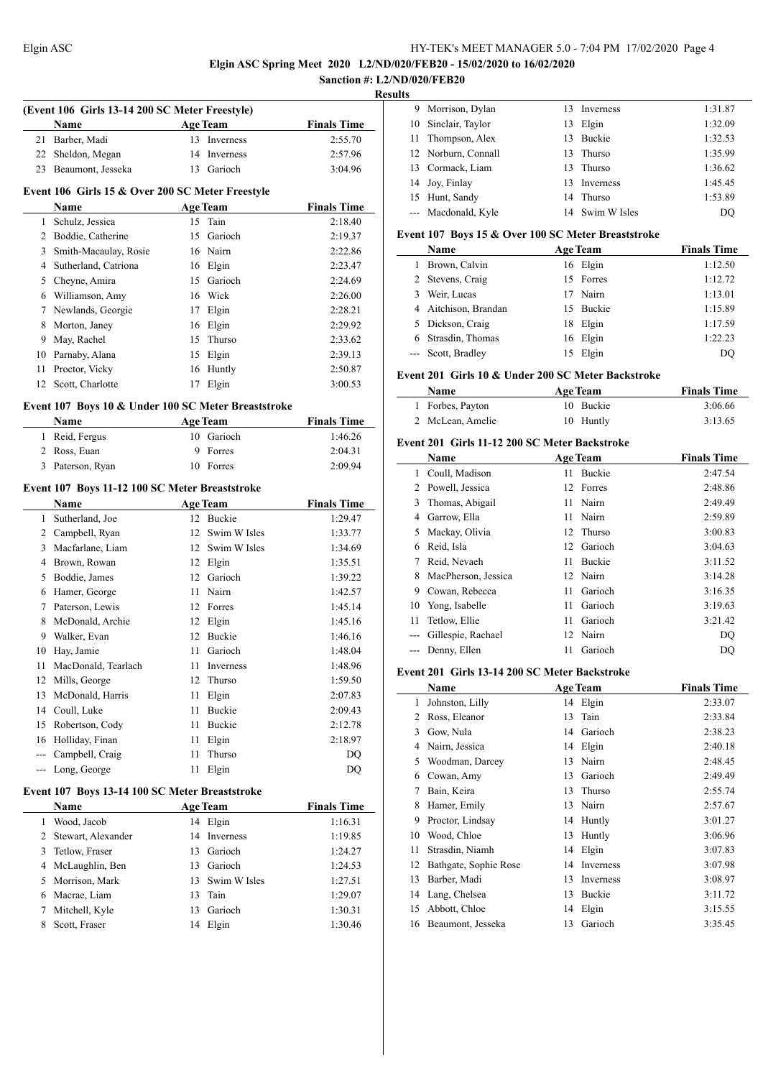**(Event 106 Girls 13-14 200 SC Meter Freestyle)**

#### Elgin ASC HY-TEK's MEET MANAGER 5.0 - 7:04 PM 17/02/2020 Page 4

# **Elgin ASC Spring Meet 2020 L2/ND/020/FEB20 - 15/02/2020 to 16/02/2020**

#### **Sanction #: L2/ND/020/FEB20 Results**

 $\overline{\phantom{0}}$ 

 $\overline{a}$ 

|    | Name                                                |    | <b>Age Team</b> | <b>Finals Time</b> |
|----|-----------------------------------------------------|----|-----------------|--------------------|
| 21 | Barber, Madi                                        | 13 | Inverness       | 2:55.70            |
| 22 | Sheldon, Megan                                      | 14 | Inverness       | 2:57.96            |
| 23 | Beaumont, Jesseka                                   | 13 | Garioch         | 3:04.96            |
|    |                                                     |    |                 |                    |
|    | Event 106 Girls 15 & Over 200 SC Meter Freestyle    |    |                 |                    |
|    | Name                                                |    | <b>Age Team</b> | <b>Finals Time</b> |
| 1  | Schulz, Jessica                                     |    | 15 Tain         | 2:18.40            |
| 2  | Boddie, Catherine                                   | 15 | Garioch         | 2:19.37            |
| 3  | Smith-Macaulay, Rosie                               | 16 | Nairn           | 2:22.86            |
|    | 4 Sutherland, Catriona                              | 16 | Elgin           | 2:23.47            |
|    | 5 Cheyne, Amira                                     | 15 | Garioch         | 2:24.69            |
|    | 6 Williamson, Amy                                   | 16 | Wick            | 2:26.00            |
| 7  | Newlands, Georgie                                   | 17 | Elgin           | 2:28.21            |
| 8  | Morton, Janey                                       | 16 | Elgin           | 2:29.92            |
| 9  | May, Rachel                                         | 15 | Thurso          | 2:33.62            |
| 10 | Parnaby, Alana                                      | 15 | Elgin           | 2:39.13            |
| 11 | Proctor, Vicky                                      | 16 | Huntly          | 2:50.87            |
|    | 12 Scott, Charlotte                                 | 17 | Elgin           | 3:00.53            |
|    | Event 107 Boys 10 & Under 100 SC Meter Breaststroke |    |                 |                    |
|    | Name                                                |    | <b>Age Team</b> | <b>Finals Time</b> |
| 1  | Reid, Fergus                                        | 10 | Garioch         | 1:46.26            |
| 2  | Ross, Euan                                          | 9  | Forres          | 2:04.31            |
| 3  | Paterson, Ryan                                      |    | 10 Forres       | 2:09.94            |
|    |                                                     |    |                 |                    |
|    | Event 107 Boys 11-12 100 SC Meter Breaststroke      |    |                 |                    |
|    | Name                                                |    | <b>Age Team</b> | <b>Finals Time</b> |
| 1  | Sutherland, Joe                                     | 12 | 12 Buckie       | 1:29.47            |
|    | 2 Campbell, Ryan                                    |    | Swim W Isles    | 1:33.77            |
| 3  | Macfarlane, Liam                                    |    | 12 Swim W Isles | 1:34.69            |
|    | 4 Brown, Rowan                                      |    | 12 Elgin        | 1:35.51            |
| 5  | Boddie, James                                       |    | 12 Garioch      | 1:39.22            |
|    | 6 Hamer, George                                     | 11 | Nairn           | 1:42.57            |
| 7  | Paterson, Lewis                                     |    | 12 Forres       | 1:45.14            |
| 8  | McDonald, Archie                                    |    | 12 Elgin        | 1:45.16            |
| 9  | Walker, Evan                                        |    | 12 Buckie       | 1:46.16            |
| 10 | Hay, Jamie                                          | 11 | Garioch         | 1:48.04            |
| 11 | MacDonald, Tearlach                                 | 11 | Inverness       | 1:48.96            |
| 12 | Mills, George                                       | 12 | Thurso          | 1:59.50            |
| 13 | McDonald, Harris                                    | 11 | Elgin           | 2:07.83            |
| 14 | Coull, Luke                                         | 11 | Buckie          | 2:09.43            |
| 15 | Robertson, Cody                                     | 11 | Buckie          | 2:12.78            |
| 16 | Holliday, Finan                                     | 11 | Elgin           | 2:18.97            |
|    | --- Campbell, Craig                                 | 11 | Thurso          | DQ                 |
|    | --- Long, George                                    | 11 | Elgin           | DQ                 |
|    | Event 107 Boys 13-14 100 SC Meter Breaststroke      |    |                 |                    |
|    | Name                                                |    | <b>Age Team</b> | <b>Finals Time</b> |
| 1  | Wood, Jacob                                         | 14 | Elgin           | 1:16.31            |
| 2  | Stewart, Alexander                                  | 14 | Inverness       | 1:19.85            |
| 3  | Tetlow, Fraser                                      | 13 | Garioch         | 1:24.27            |
| 4  | McLaughlin, Ben                                     |    | 13 Garioch      | 1:24.53            |
| 5  | Morrison, Mark                                      | 13 | Swim W Isles    | 1:27.51            |
| 6  | Macrae, Liam                                        | 13 | Tain            | 1:29.07            |
| 7  | Mitchell, Kyle                                      | 13 | Garioch         | 1:30.31            |
| 8  | Scott, Fraser                                       | 14 | Elgin           | 1:30.46            |
|    |                                                     |    |                 |                    |

| 9 Morrison, Dylan   | 13  | Inverness        | 1:31.87 |
|---------------------|-----|------------------|---------|
| 10 Sinclair, Taylor | 13  | Elgin            | 1:32.09 |
| 11 Thompson, Alex   |     | 13 Buckie        | 1:32.53 |
| 12 Norburn, Connall |     | 13 Thurso        | 1:35.99 |
| 13 Cormack, Liam    |     | 13 Thurso        | 1:36.62 |
| 14 Joy, Finlay      | 13. | <b>Inverness</b> | 1:45.45 |
| 15 Hunt, Sandy      |     | 14 Thurso        | 1:53.89 |
| --- Macdonald, Kyle |     | 14 Swim W Isles  | DO      |
|                     |     |                  |         |

### **Event 107 Boys 15 & Over 100 SC Meter Breaststroke**

| Name                 | <b>Age Team</b> | <b>Finals Time</b> |
|----------------------|-----------------|--------------------|
| Brown, Calvin        | 16 Elgin        | 1:12.50            |
| 2 Stevens, Craig     | 15 Forres       | 1:12.72            |
| 3 Weir, Lucas        | 17 Nairn        | 1:13.01            |
| 4 Aitchison, Brandan | 15 Buckie       | 1:15.89            |
| 5 Dickson, Craig     | 18 Elgin        | 1:17.59            |
| Strasdin, Thomas     | 16 Elgin        | 1:22.23            |
| --- Scott, Bradley   | 15 Elgin        | DO                 |

#### **Event 201 Girls 10 & Under 200 SC Meter Backstroke**

| <b>Name</b>      | <b>Age Team</b> | <b>Finals Time</b> |
|------------------|-----------------|--------------------|
| 1 Forbes, Payton | 10 Buckie       | 3:06.66            |
| 2 McLean, Amelie | 10 Huntly       | 3:13.65            |

#### **Event 201 Girls 11-12 200 SC Meter Backstroke**

|       | Name                |    | <b>Age Team</b> | <b>Finals Time</b> |
|-------|---------------------|----|-----------------|--------------------|
| 1     | Coull, Madison      | 11 | <b>Buckie</b>   | 2:47.54            |
| 2     | Powell, Jessica     |    | 12 Forres       | 2:48.86            |
| 3     | Thomas, Abigail     | 11 | Nairn           | 2:49.49            |
| 4     | Garrow, Ella        | 11 | Nairn           | 2:59.89            |
| 5     | Mackay, Olivia      |    | 12 Thurso       | 3:00.83            |
| 6     | Reid, Isla          | 12 | Garioch         | 3:04.63            |
| 7     | Reid, Nevaeh        | 11 | <b>Buckie</b>   | 3:11.52            |
| 8     | MacPherson, Jessica |    | 12 Nairn        | 3:14.28            |
| 9     | Cowan, Rebecca      | 11 | Garioch         | 3:16.35            |
| 10    | Yong, Isabelle      | 11 | Garioch         | 3:19.63            |
| 11    | Tetlow, Ellie       | 11 | Garioch         | 3:21.42            |
| $---$ | Gillespie, Rachael  |    | 12 Nairn        | DO                 |
|       | Denny, Ellen        | 11 | Garioch         | DO                 |

#### **Event 201 Girls 13-14 200 SC Meter Backstroke**

|    | Name                  |    | <b>Age Team</b> | <b>Finals Time</b> |
|----|-----------------------|----|-----------------|--------------------|
| 1  | Johnston, Lilly       | 14 | Elgin           | 2:33.07            |
| 2  | Ross, Eleanor         | 13 | Tain            | 2:33.84            |
| 3  | Gow, Nula             | 14 | Garioch         | 2:38.23            |
| 4  | Nairn, Jessica        | 14 | Elgin           | 2:40.18            |
| 5  | Woodman, Darcey       | 13 | Nairn           | 2:48.45            |
| 6  | Cowan, Amy            | 13 | Garioch         | 2:49.49            |
| 7  | Bain, Keira           | 13 | Thurso          | 2:55.74            |
| 8  | Hamer, Emily          | 13 | Nairn           | 2:57.67            |
| 9  | Proctor, Lindsay      | 14 | Huntly          | 3:01.27            |
| 10 | Wood, Chloe           | 13 | Huntly          | 3:06.96            |
| 11 | Strasdin, Niamh       | 14 | Elgin           | 3:07.83            |
| 12 | Bathgate, Sophie Rose | 14 | Inverness       | 3:07.98            |
| 13 | Barber, Madi          | 13 | Inverness       | 3:08.97            |
| 14 | Lang, Chelsea         | 13 | Buckie          | 3:11.72            |
| 15 | Abbott, Chloe         | 14 | Elgin           | 3:15.55            |
| 16 | Beaumont, Jesseka     | 13 | Garioch         | 3:35.45            |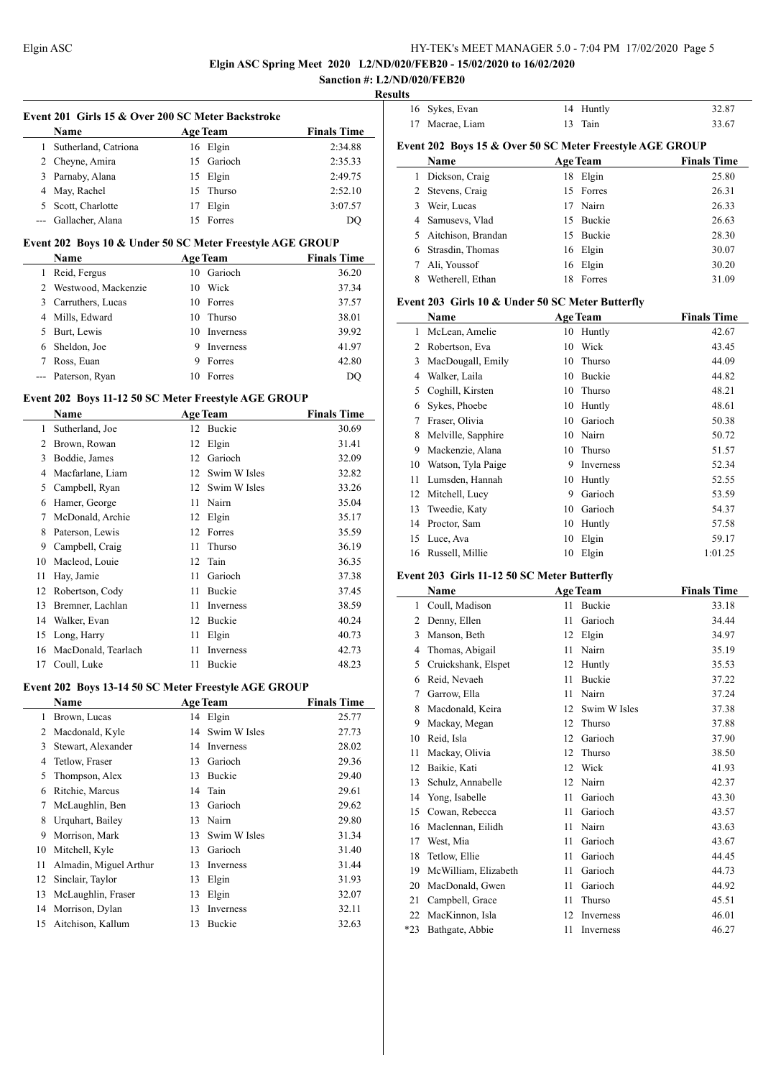$\frac{1}{2}$ 

#### Elgin ASC HY-TEK's MEET MANAGER 5.0 - 7:04 PM 17/02/2020 Page 5

**Elgin ASC Spring Meet 2020 L2/ND/020/FEB20 - 15/02/2020 to 16/02/2020**

#### **Sanction #: L2/ND/020/FEB20 Results**

 $\frac{1}{2}$ 

|    | Event 201 Girls 15 & Over 200 SC Meter Backstroke |                 |                    |  |  |  |
|----|---------------------------------------------------|-----------------|--------------------|--|--|--|
|    | <b>Name</b>                                       | <b>Age Team</b> | <b>Finals Time</b> |  |  |  |
|    | Sutherland, Catriona                              | 16 Elgin        | 2:34.88            |  |  |  |
|    | 2 Cheyne, Amira                                   | Garioch<br>15   | 2:35.33            |  |  |  |
|    | 3 Parnaby, Alana                                  | Elgin<br>15     | 2:49.75            |  |  |  |
|    | 4 May, Rachel                                     | Thurso<br>15    | 2:52.10            |  |  |  |
| 5. | Scott, Charlotte                                  | Elgin           | 3:07.57            |  |  |  |
|    | --- Gallacher, Alana                              | Forres          | DO                 |  |  |  |

#### **Event 202 Boys 10 & Under 50 SC Meter Freestyle AGE GROUP**

|    | <b>Name</b>           | <b>Age Team</b> |                  | <b>Finals Time</b> |
|----|-----------------------|-----------------|------------------|--------------------|
|    | Reid, Fergus          | 10              | Garioch          | 36.20              |
|    | 2 Westwood, Mackenzie | 10              | Wick             | 37.34              |
| 3  | Carruthers, Lucas     |                 | 10 Forres        | 37.57              |
|    | 4 Mills, Edward       | 10              | Thurso           | 38.01              |
| 5. | Burt, Lewis           |                 | 10 Inverness     | 39.92              |
| 6  | Sheldon, Joe          | 9               | <b>Inverness</b> | 41.97              |
|    | Ross, Euan            | 9               | Forres           | 42.80              |
|    | Paterson, Ryan        | 10              | Forres           | DO                 |

#### **Event 202 Boys 11-12 50 SC Meter Freestyle AGE GROUP**

|    | Name                |    | <b>Age Team</b> | <b>Finals Time</b> |
|----|---------------------|----|-----------------|--------------------|
| 1  | Sutherland, Joe     | 12 | Buckie          | 30.69              |
| 2  | Brown, Rowan        | 12 | Elgin           | 31.41              |
| 3  | Boddie, James       | 12 | Garioch         | 32.09              |
| 4  | Macfarlane, Liam    | 12 | Swim W Isles    | 32.82              |
| 5  | Campbell, Ryan      | 12 | Swim W Isles    | 33.26              |
| 6  | Hamer, George       | 11 | Nairn           | 35.04              |
| 7  | McDonald, Archie    | 12 | Elgin           | 35.17              |
| 8  | Paterson, Lewis     | 12 | Forres          | 35.59              |
| 9  | Campbell, Craig     | 11 | Thurso          | 36.19              |
| 10 | Macleod, Louie      | 12 | Tain            | 36.35              |
| 11 | Hay, Jamie          | 11 | Garioch         | 37.38              |
| 12 | Robertson, Cody     | 11 | <b>Buckie</b>   | 37.45              |
| 13 | Bremner, Lachlan    | 11 | Inverness       | 38.59              |
| 14 | Walker, Evan        | 12 | Buckie          | 40.24              |
| 15 | Long, Harry         | 11 | Elgin           | 40.73              |
| 16 | MacDonald, Tearlach | 11 | Inverness       | 42.73              |
| 17 | Coull, Luke         | 11 | Buckie          | 48.23              |

#### **Event 202 Boys 13-14 50 SC Meter Freestyle AGE GROUP**

|    | Name                   |    | <b>Age Team</b> | <b>Finals Time</b> |
|----|------------------------|----|-----------------|--------------------|
| 1  | Brown, Lucas           |    | 14 Elgin        | 25.77              |
| 2  | Macdonald, Kyle        | 14 | Swim W Isles    | 27.73              |
| 3  | Stewart, Alexander     | 14 | Inverness       | 28.02              |
| 4  | Tetlow, Fraser         | 13 | Garioch         | 29.36              |
| 5  | Thompson, Alex         | 13 | Buckie          | 29.40              |
| 6  | Ritchie, Marcus        | 14 | Tain            | 29.61              |
| 7  | McLaughlin, Ben        | 13 | Garioch         | 29.62              |
| 8  | Urquhart, Bailey       | 13 | Nairn           | 29.80              |
| 9  | Morrison, Mark         | 13 | Swim W Isles    | 31.34              |
| 10 | Mitchell, Kyle         | 13 | Garioch         | 31.40              |
| 11 | Almadin, Miguel Arthur | 13 | Inverness       | 31.44              |
| 12 | Sinclair, Taylor       | 13 | Elgin           | 31.93              |
| 13 | McLaughlin, Fraser     | 13 | Elgin           | 32.07              |
| 14 | Morrison, Dylan        | 13 | Inverness       | 32.11              |
| 15 | Aitchison, Kallum      | 13 | Buckie          | 32.63              |
|    |                        |    |                 |                    |

|    | 16 Sykes, Evan                                           |     | 14 Huntly       | 32.87              |
|----|----------------------------------------------------------|-----|-----------------|--------------------|
| 17 | Macrae, Liam                                             | 13  | Tain            | 33.67              |
|    | Event 202 Boys 15 & Over 50 SC Meter Freestyle AGE GROUP |     |                 |                    |
|    | Name                                                     |     | <b>Age Team</b> | <b>Finals Time</b> |
| 1  | Dickson, Craig                                           |     | 18 Elgin        | 25.80              |
| 2  | Stevens, Craig                                           |     | 15 Forres       | 26.31              |
| 3  | Weir, Lucas                                              |     | 17 Nairn        | 26.33              |
| 4  | Samusevs, Vlad                                           |     | 15 Buckie       | 26.63              |
| 5  | Aitchison, Brandan                                       | 15. | <b>Buckie</b>   | 28.30              |
| 6  | Strasdin, Thomas                                         |     | 16 Elgin        | 30.07              |
| 7  | Ali, Youssof                                             |     | 16 Elgin        | 30.20              |
| 8  | Wetherell, Ethan                                         | 18  | Forres          | 31.09              |
|    |                                                          |     |                 |                    |

## **Event 203 Girls 10 & Under 50 SC Meter Butterfly**

|    | Name               |    | <b>Age Team</b> | <b>Finals Time</b> |
|----|--------------------|----|-----------------|--------------------|
| 1  | McLean, Amelie     | 10 | Huntly          | 42.67              |
| 2  | Robertson, Eva     | 10 | Wick            | 43.45              |
| 3  | MacDougall, Emily  | 10 | Thurso          | 44.09              |
| 4  | Walker, Laila      | 10 | Buckie          | 44.82              |
| 5  | Coghill, Kirsten   | 10 | Thurso          | 48.21              |
| 6  | Sykes, Phoebe      | 10 | Huntly          | 48.61              |
| 7  | Fraser, Olivia     | 10 | Garioch         | 50.38              |
| 8  | Melville, Sapphire | 10 | Nairn           | 50.72              |
| 9  | Mackenzie, Alana   | 10 | Thurso          | 51.57              |
| 10 | Watson, Tyla Paige | 9  | Inverness       | 52.34              |
| 11 | Lumsden, Hannah    | 10 | Huntly          | 52.55              |
| 12 | Mitchell, Lucy     | 9  | Garioch         | 53.59              |
| 13 | Tweedie, Katy      | 10 | Garioch         | 54.37              |
| 14 | Proctor, Sam       | 10 | Huntly          | 57.58              |
| 15 | Luce, Ava          | 10 | Elgin           | 59.17              |
| 16 | Russell, Millie    | 10 | Elgin           | 1:01.25            |

#### **Event 203 Girls 11-12 50 SC Meter Butterfly**

|                | Name                 |    | <b>Age Team</b> | <b>Finals Time</b> |
|----------------|----------------------|----|-----------------|--------------------|
| 1              | Coull, Madison       | 11 | Buckie          | 33.18              |
| $\overline{c}$ | Denny, Ellen         | 11 | Garioch         | 34.44              |
| 3              | Manson, Beth         | 12 | Elgin           | 34.97              |
| 4              | Thomas, Abigail      | 11 | Nairn           | 35.19              |
| 5              | Cruickshank, Elspet  | 12 | Huntly          | 35.53              |
| 6              | Reid, Nevaeh         | 11 | <b>Buckie</b>   | 37.22              |
| 7              | Garrow, Ella         | 11 | Nairn           | 37.24              |
| 8              | Macdonald, Keira     | 12 | Swim W Isles    | 37.38              |
| 9              | Mackay, Megan        | 12 | Thurso          | 37.88              |
| 10             | Reid, Isla           | 12 | Garioch         | 37.90              |
| 11             | Mackay, Olivia       | 12 | Thurso          | 38.50              |
| 12             | Baikie, Kati         | 12 | Wick            | 41.93              |
| 13             | Schulz, Annabelle    | 12 | Nairn           | 42.37              |
| 14             | Yong, Isabelle       | 11 | Garioch         | 43.30              |
| 15             | Cowan, Rebecca       | 11 | Garioch         | 43.57              |
| 16             | Maclennan, Eilidh    | 11 | Nairn           | 43.63              |
| 17             | West, Mia            | 11 | Garioch         | 43.67              |
| 18             | Tetlow, Ellie        | 11 | Garioch         | 44.45              |
| 19             | McWilliam, Elizabeth | 11 | Garioch         | 44.73              |
| 20             | MacDonald, Gwen      | 11 | Garioch         | 44.92              |
| 21             | Campbell, Grace      | 11 | Thurso          | 45.51              |
| 22             | MacKinnon, Isla      | 12 | Inverness       | 46.01              |
| $*23$          | Bathgate, Abbie      | 11 | Inverness       | 46.27              |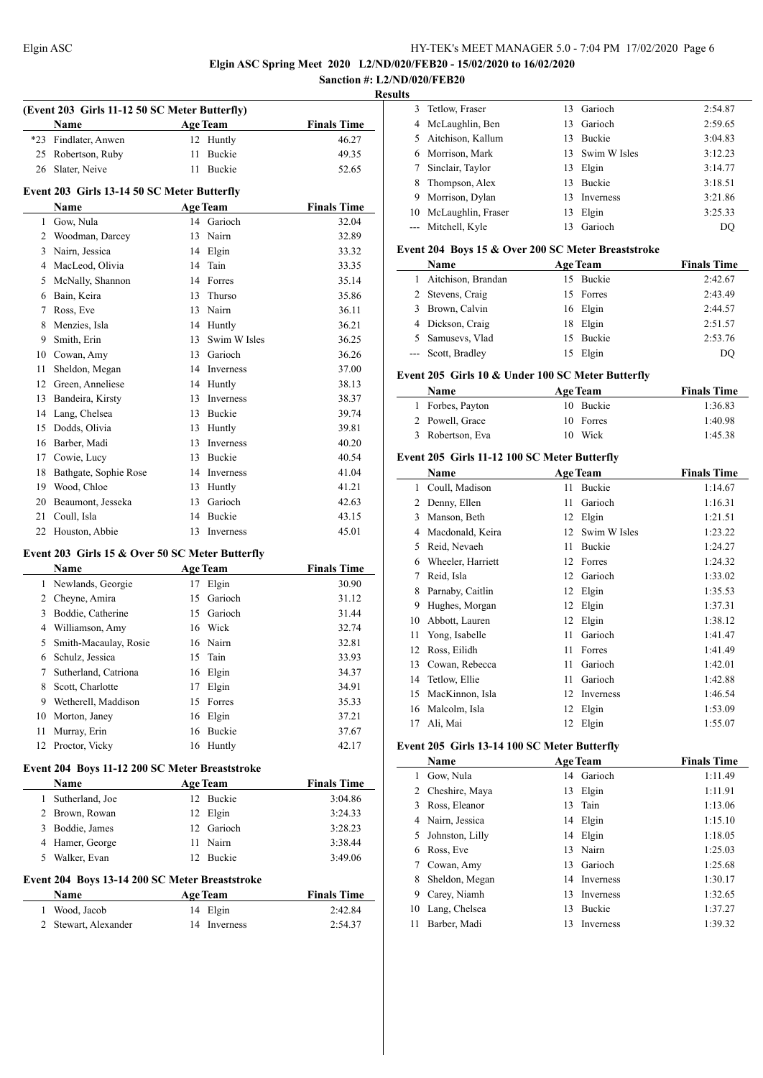**Elgin ASC Spring Meet 2020 L2/ND/020/FEB20 - 15/02/2020 to 16/02/2020**

#### **Sanction #: L2/ND/020/FEB20 Results**

|              | (Event 203 Girls 11-12 50 SC Meter Butterfly)   |    |                 |                    |
|--------------|-------------------------------------------------|----|-----------------|--------------------|
|              | Name                                            |    | <b>Age Team</b> | <b>Finals Time</b> |
|              | *23 Findlater, Anwen                            | 12 | Huntly          | 46.27              |
|              | 25 Robertson, Ruby                              | 11 | <b>Buckie</b>   | 49.35              |
| 26           | Slater, Neive                                   | 11 | Buckie          | 52.65              |
|              | Event 203 Girls 13-14 50 SC Meter Butterfly     |    |                 |                    |
|              | Name                                            |    | <b>Age Team</b> | <b>Finals Time</b> |
|              | 1 Gow, Nula                                     |    | 14 Garioch      | 32.04              |
|              | 2 Woodman, Darcey                               | 13 | Nairn           | 32.89              |
|              | 3 Nairn, Jessica                                |    | 14 Elgin        | 33.32              |
|              | 4 MacLeod, Olivia                               |    | 14 Tain         | 33.35              |
|              | 5 McNally, Shannon                              |    | 14 Forres       | 35.14              |
|              | 6 Bain, Keira                                   |    | 13 Thurso       | 35.86              |
|              | 7 Ross, Eve                                     |    | 13 Nairn        | 36.11              |
|              | 8 Menzies, Isla                                 |    | 14 Huntly       | 36.21              |
| 9            | Smith, Erin                                     |    | 13 Swim W Isles | 36.25              |
|              | 10 Cowan, Amy                                   |    | 13 Garioch      | 36.26              |
| 11           | Sheldon, Megan                                  |    | 14 Inverness    | 37.00              |
|              | 12 Green, Anneliese                             |    | 14 Huntly       | 38.13              |
| 13           | Bandeira, Kirsty                                |    | 13 Inverness    | 38.37              |
|              | 14 Lang, Chelsea                                |    | 13 Buckie       | 39.74              |
| 15           | Dodds, Olivia                                   |    | 13 Huntly       | 39.81              |
|              | 16 Barber, Madi                                 |    | 13 Inverness    | 40.20              |
|              | 17 Cowie, Lucy                                  |    | 13 Buckie       | 40.54              |
| 18           | Bathgate, Sophie Rose                           |    | 14 Inverness    | 41.04              |
| 19           | Wood, Chloe                                     |    | 13 Huntly       | 41.21              |
|              | 20 Beaumont, Jesseka                            | 13 | Garioch         | 42.63              |
| 21           | Coull, Isla                                     | 14 | Buckie          | 43.15              |
| 22           | Houston, Abbie                                  | 13 | Inverness       | 45.01              |
|              | Event 203 Girls 15 & Over 50 SC Meter Butterfly |    |                 |                    |
|              | Name                                            |    | <b>Age Team</b> | <b>Finals Time</b> |
|              | 1 Newlands, Georgie                             |    | 17 Elgin        | 30.90              |
|              | 2 Cheyne, Amira                                 |    | 15 Garioch      | 31.12              |
|              | 3 Boddie, Catherine                             |    | 15 Garioch      | 31.44              |
|              | 4 Williamson, Amy                               |    | 16 Wick         | 32.74              |
| 5            | Smith-Macaulay, Rosie                           |    | 16 Nairn        | 32.81              |
| 6            | Schulz, Jessica                                 |    | 15 Tain         | 33.93              |
| 7            | Sutherland, Catriona                            |    | 16 Elgin        | 34.37              |
| 8            | Scott, Charlotte                                | 17 | Elgin           | 34.91              |
|              | 9 Wetherell, Maddison                           |    | 15 Forres       | 35.33              |
|              | 10 Morton, Janey                                |    | 16 Elgin        | 37.21              |
| 11           | Murray, Erin                                    |    | 16 Buckie       | 37.67              |
| 12           | Proctor, Vicky                                  |    | 16 Huntly       | 42.17              |
|              | Event 204 Boys 11-12 200 SC Meter Breaststroke  |    |                 |                    |
|              | Name                                            |    | <b>Age Team</b> | <b>Finals Time</b> |
| 1            | Sutherland, Joe                                 |    | 12 Buckie       | 3:04.86            |
|              | 2 Brown, Rowan                                  |    | 12 Elgin        | 3:24.33            |
|              | 3 Boddie, James                                 |    | 12 Garioch      | 3:28.23            |
|              | 4 Hamer, George                                 |    | 11 Nairn        | 3:38.44            |
| 5            | Walker, Evan                                    |    | 12 Buckie       | 3:49.06            |
|              | Event 204 Boys 13-14 200 SC Meter Breaststroke  |    |                 |                    |
|              | Name                                            |    | <b>Age Team</b> | <b>Finals Time</b> |
| $\mathbf{1}$ | Wood, Jacob                                     |    | 14 Elgin        | 2:42.84            |
| $\mathbf{2}$ | Stewart, Alexander                              | 14 | Inverness       | 2:54.37            |
|              |                                                 |    |                 |                    |

| 3 Tetlow, Fraser      |    | 13 Garioch      | 2:54.87 |
|-----------------------|----|-----------------|---------|
| 4 McLaughlin, Ben     | 13 | Garioch         | 2:59.65 |
| 5 Aitchison, Kallum   | 13 | <b>Buckie</b>   | 3:04.83 |
| 6 Morrison, Mark      |    | 13 Swim W Isles | 3:12.23 |
| 7 Sinclair, Taylor    | 13 | Elgin           | 3:14.77 |
| 8 Thompson, Alex      | 13 | <b>Buckie</b>   | 3:18.51 |
| 9 Morrison, Dylan     | 13 | Inverness       | 3:21.86 |
| 10 McLaughlin, Fraser | 13 | Elgin           | 3:25.33 |
| --- Mitchell, Kyle    | 13 | Garioch         | DO      |
|                       |    |                 |         |

#### **Event 204 Boys 15 & Over 200 SC Meter Breaststroke**

| <b>Name</b>          | <b>Age Team</b> | <b>Finals Time</b> |
|----------------------|-----------------|--------------------|
| 1 Aitchison, Brandan | 15 Buckie       | 2:42.67            |
| 2 Stevens, Craig     | 15 Forres       | 2:43.49            |
| 3 Brown, Calvin      | 16 Elgin        | 2:44.57            |
| 4 Dickson, Craig     | 18 Elgin        | 2:51.57            |
| 5 Samusevs, Vlad     | 15 Buckie       | 2:53.76            |
| --- Scott, Bradley   | 15 Elgin        | DO                 |

#### **Event 205 Girls 10 & Under 100 SC Meter Butterfly**

| <b>Name</b>      | <b>Age Team</b> | <b>Finals Time</b> |
|------------------|-----------------|--------------------|
| 1 Forbes, Payton | 10 Buckie       | 1:36.83            |
| 2 Powell, Grace  | 10 Forres       | 1:40.98            |
| 3 Robertson, Eva | 10 Wick         | 1:45.38            |

# **Event 205 Girls 11-12 100 SC Meter Butterfly**

|    | Name              |    | <b>Age Team</b> | <b>Finals Time</b> |
|----|-------------------|----|-----------------|--------------------|
| 1  | Coull, Madison    | 11 | Buckie          | 1:14.67            |
| 2  | Denny, Ellen      | 11 | Garioch         | 1:16.31            |
| 3  | Manson, Beth      | 12 | Elgin           | 1:21.51            |
| 4  | Macdonald, Keira  | 12 | Swim W Isles    | 1:23.22            |
| 5  | Reid, Nevaeh      | 11 | Buckie          | 1:24.27            |
| 6  | Wheeler, Harriett | 12 | Forres          | 1:24.32            |
| 7  | Reid, Isla        | 12 | Garioch         | 1:33.02            |
| 8  | Parnaby, Caitlin  | 12 | Elgin           | 1:35.53            |
| 9  | Hughes, Morgan    | 12 | Elgin           | 1:37.31            |
| 10 | Abbott, Lauren    | 12 | Elgin           | 1:38.12            |
| 11 | Yong, Isabelle    | 11 | Garioch         | 1:41.47            |
| 12 | Ross, Eilidh      | 11 | Forres          | 1:41.49            |
| 13 | Cowan, Rebecca    | 11 | Garioch         | 1:42.01            |
| 14 | Tetlow, Ellie     | 11 | Garioch         | 1:42.88            |
| 15 | MacKinnon, Isla   | 12 | Inverness       | 1:46.54            |
| 16 | Malcolm, Isla     | 12 | Elgin           | 1:53.09            |
| 17 | Ali, Mai          | 12 | Elgin           | 1:55.07            |

#### **Event 205 Girls 13-14 100 SC Meter Butterfly**

|    | Name             |    | <b>Age Team</b> | <b>Finals Time</b> |
|----|------------------|----|-----------------|--------------------|
| 1  | Gow, Nula        |    | 14 Garioch      | 1:11.49            |
| 2  | Cheshire, Maya   | 13 | Elgin           | 1:11.91            |
| 3  | Ross, Eleanor    | 13 | Tain            | 1:13.06            |
|    | 4 Nairn, Jessica |    | 14 Elgin        | 1:15.10            |
| 5. | Johnston, Lilly  |    | 14 Elgin        | 1:18.05            |
| 6  | Ross, Eve        | 13 | Nairn           | 1:25.03            |
| 7  | Cowan, Amy       | 13 | Garioch         | 1:25.68            |
| 8  | Sheldon, Megan   |    | 14 Inverness    | 1:30.17            |
| 9  | Carey, Niamh     | 13 | Inverness       | 1:32.65            |
| 10 | Lang, Chelsea    | 13 | <b>Buckie</b>   | 1:37.27            |
| 11 | Barber, Madi     | 13 | Inverness       | 1:39.32            |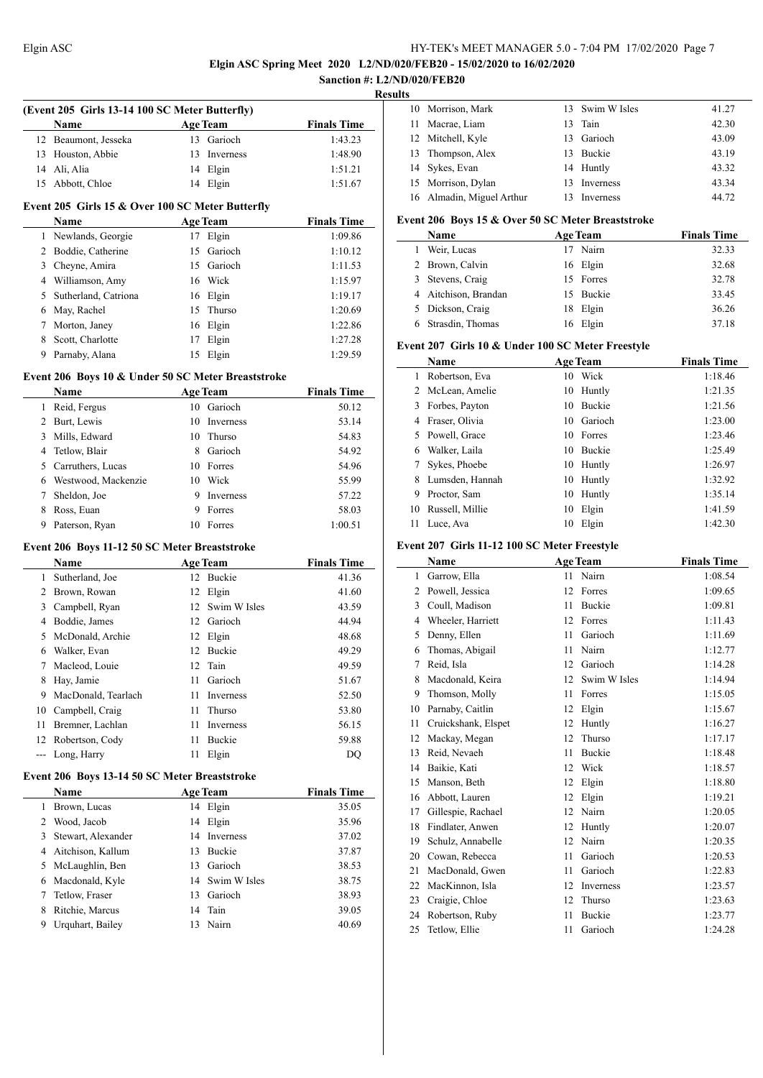# **Elgin ASC Spring Meet 2020 L2/ND/020/FEB20 - 15/02/2020 to 16/02/2020**

|                |                                                    |    |                 | <b>EIGHT ASC Spring Meet 2020</b> E2/19D/020/FED20 - 13<br>Sanction #: L2/ND/020/FEB20 | <b>Results</b> |               |
|----------------|----------------------------------------------------|----|-----------------|----------------------------------------------------------------------------------------|----------------|---------------|
|                | (Event 205 Girls 13-14 100 SC Meter Butterfly)     |    |                 |                                                                                        |                | 10 Morrison.  |
|                | Name                                               |    | <b>Age Team</b> | <b>Finals Time</b>                                                                     | 11             | Macrae, I     |
|                | 12 Beaumont, Jesseka                               |    | 13 Garioch      | 1:43.23                                                                                | 12             | Mitchell,     |
|                | 13 Houston, Abbie                                  |    | 13 Inverness    | 1:48.90                                                                                | 13             | Thompso:      |
|                | 14 Ali, Alia                                       |    | 14 Elgin        | 1:51.21                                                                                | 14             | Sykes, Ev     |
|                | 15 Abbott, Chloe                                   |    | 14 Elgin        | 1:51.67                                                                                | 15             | Morrison.     |
|                | Event 205 Girls 15 & Over 100 SC Meter Butterfly   |    |                 |                                                                                        | 16             | Almadin,      |
|                | Name                                               |    | <b>Age Team</b> | <b>Finals Time</b>                                                                     |                | Event 206 Boy |
|                | 1 Newlands, Georgie                                |    | 17 Elgin        | 1:09.86                                                                                |                | Name          |
|                | 2 Boddie, Catherine                                |    | 15 Garioch      | 1:10.12                                                                                |                | 1 Weir, Luc   |
|                | 3 Cheyne, Amira                                    |    | 15 Garioch      | 1:11.53                                                                                |                | 2 Brown, C    |
|                | 4 Williamson, Amy                                  |    | 16 Wick         | 1:15.97                                                                                |                | 3 Stevens, 0  |
|                | 5 Sutherland, Catriona                             |    | 16 Elgin        | 1:19.17                                                                                |                | 4 Aitchison   |
|                | 6 May, Rachel                                      |    | 15 Thurso       | 1:20.69                                                                                | 5              | Dickson,      |
| $7^{\circ}$    | Morton, Janey                                      |    | 16 Elgin        | 1:22.86                                                                                | 6              | Strasdin,     |
| 8              | Scott, Charlotte                                   | 17 | Elgin           | 1:27.28                                                                                |                |               |
|                | 9 Parnaby, Alana                                   |    | 15 Elgin        | 1:29.59                                                                                |                | Event 207 Gir |
|                |                                                    |    |                 |                                                                                        |                | Name          |
|                | Event 206 Boys 10 & Under 50 SC Meter Breaststroke |    |                 |                                                                                        |                | 1 Robertsor   |
|                | Name                                               |    | <b>Age Team</b> | <b>Finals Time</b>                                                                     | 2              | McLean,       |
|                | 1 Reid, Fergus                                     |    | 10 Garioch      | 50.12                                                                                  |                | 3 Forbes, P   |
|                | 2 Burt, Lewis                                      |    | 10 Inverness    | 53.14                                                                                  |                | 4 Fraser, Ol  |
|                | 3 Mills, Edward                                    | 10 | Thurso          | 54.83                                                                                  |                | 5 Powell, G   |
|                | 4 Tetlow, Blair                                    |    | 8 Garioch       | 54.92                                                                                  | 6              | Walker, L     |
|                | 5 Carruthers, Lucas                                |    | 10 Forres       | 54.96                                                                                  | 7              | Sykes, Ph     |
|                | 6 Westwood, Mackenzie                              |    | 10 Wick         | 55.99                                                                                  |                | 8 Lumsden.    |
| 7              | Sheldon, Joe                                       | 9  | Inverness       | 57.22                                                                                  |                | 9 Proctor, S  |
|                | 8 Ross, Euan                                       | 9  | Forres          | 58.03                                                                                  | 10             | Russell, N    |
|                | 9 Paterson, Ryan                                   |    | 10 Forres       | 1:00.51                                                                                |                | 11 Luce, Ava  |
|                | Event 206 Boys 11-12 50 SC Meter Breaststroke      |    |                 |                                                                                        |                | Event 207 Gir |
|                | <b>Name</b>                                        |    | <b>Age Team</b> | <b>Finals Time</b>                                                                     |                | <b>Name</b>   |
|                | 1 Sutherland, Joe                                  |    | 12 Buckie       | 41.36                                                                                  |                | 1 Garrow, E   |
|                | 2 Brown, Rowan                                     |    | 12 Elgin        | 41.60                                                                                  |                | 2 Powell, Jo  |
|                | 3 Campbell, Ryan                                   |    | 12 Swim W Isles | 43.59                                                                                  | 3              | Coull, Ma     |
|                | 4 Boddie, James                                    |    | 12 Garioch      | 44.94                                                                                  | 4              | Wheeler,      |
| 5 <sup>5</sup> | McDonald, Archie                                   |    | 12 Elgin        | 48.68                                                                                  |                | 5 Denny, El   |
| 6              | Walker, Evan                                       |    | 12 Buckie       | 49.29                                                                                  | 6              | Thomas,       |
| 7              | Macleod, Louie                                     | 12 | Tain            | 49.59                                                                                  | 7              | Reid, Isla    |
| 8              | Hay, Jamie                                         | 11 | Garioch         | 51.67                                                                                  | 8              | Macdonal      |
| 9              | MacDonald, Tearlach                                | 11 | Inverness       | 52.50                                                                                  | 9              | Thomson.      |
| 10             | Campbell, Craig                                    | 11 | Thurso          | 53.80                                                                                  | 10             | Parnaby,      |
| 11             | Bremner, Lachlan                                   | 11 | Inverness       | 56.15                                                                                  | 11             | Cruicksha     |
| 12             | Robertson, Cody                                    | 11 | Buckie          | 59.88                                                                                  | 12             | Mackay, I     |
| $\overline{a}$ | Long, Harry                                        | 11 | Elgin           | DQ                                                                                     | 13             | Reid, Nev     |
|                |                                                    |    |                 |                                                                                        | 14             | Baikie, K     |
|                | Event 206 Boys 13-14 50 SC Meter Breaststroke      |    |                 |                                                                                        | 15             | Manson, l     |
|                | Name                                               |    | <b>Age Team</b> | <b>Finals Time</b>                                                                     | 16             | Abbott, L     |
| 1              | Brown, Lucas                                       |    | 14 Elgin        | 35.05                                                                                  | 17             | Gillespie,    |
| 2              | Wood, Jacob                                        | 14 | Elgin           | 35.96                                                                                  | 18             | Findlater,    |
| 3              | Stewart, Alexander                                 | 14 | Inverness       | 37.02                                                                                  | 19             | Schulz, A     |
| 4              | Aitchison, Kallum                                  | 13 | Buckie          | 37.87                                                                                  | 20             | Cowan, R      |
| 5              | McLaughlin, Ben                                    | 13 | Garioch         | 38.53                                                                                  | 21             | MacDona       |
| 6              | Macdonald, Kyle                                    | 14 | Swim W Isles    | 38.75                                                                                  | 22             | MacKinn       |
| 7              | Tetlow, Fraser                                     |    | 13 Garioch      | 38.93                                                                                  | 23             | Craigie, C    |
| 8              | Ritchie, Marcus                                    | 14 | Tain            | 39.05                                                                                  | 24             | Robertsor     |
| 9              | Urquhart, Bailey                                   |    | 13 Nairn        | 40.69                                                                                  | 25             | Tetlow, E     |

| . . |                           |     |                 |       |
|-----|---------------------------|-----|-----------------|-------|
|     | 10 Morrison, Mark         |     | 13 Swim W Isles | 41.27 |
|     | 11 Macrae, Liam           |     | 13 Tain         | 42.30 |
|     | 12 Mitchell, Kyle         |     | 13 Garioch      | 43.09 |
|     | 13 Thompson, Alex         |     | 13 Buckie       | 43.19 |
|     | 14 Sykes, Evan            |     | 14 Huntly       | 43.32 |
|     | 15 Morrison, Dylan        | 13. | Inverness       | 43.34 |
|     | 16 Almadin, Miguel Arthur |     | Inverness       | 44.72 |

# Boys 15 & Over 50 SC Meter Breaststroke

| <b>Name</b>          | <b>Age Team</b> | <b>Finals Time</b> |
|----------------------|-----------------|--------------------|
| Weir, Lucas          | Nairn           | 32.33              |
| 2 Brown, Calvin      | 16 Elgin        | 32.68              |
| 3 Stevens, Craig     | 15 Forres       | 32.78              |
| 4 Aitchison, Brandan | 15 Buckie       | 33.45              |
| 5 Dickson, Craig     | 18 Elgin        | 36.26              |
| Strasdin, Thomas     | 16 Elgin        | 37.18              |

#### **Girls 10 & Under 100 SC Meter Freestyle**

|    | Name            |    | <b>Age Team</b> | <b>Finals Time</b> |  |  |
|----|-----------------|----|-----------------|--------------------|--|--|
|    | Robertson, Eva  | 10 | Wick            | 1:18.46            |  |  |
| 2  | McLean, Amelie  | 10 | Huntly          | 1:21.35            |  |  |
| 3  | Forbes, Payton  | 10 | <b>Buckie</b>   | 1:21.56            |  |  |
|    | Fraser, Olivia  | 10 | Garioch         | 1:23.00            |  |  |
| 5. | Powell, Grace   |    | 10 Forres       | 1:23.46            |  |  |
| 6  | Walker, Laila   | 10 | <b>Buckie</b>   | 1:25.49            |  |  |
|    | Sykes, Phoebe   | 10 | Huntly          | 1:26.97            |  |  |
| 8  | Lumsden, Hannah | 10 | Huntly          | 1:32.92            |  |  |
| 9  | Proctor, Sam    | 10 | Huntly          | 1:35.14            |  |  |
| 10 | Russell, Millie | 10 | Elgin           | 1:41.59            |  |  |
| 11 | Luce, Ava       | 10 | Elgin           | 1:42.30            |  |  |

#### **Girls 11-12 100 SC Meter Freestyle**

|                | Name                |    | <b>Age Team</b> | <b>Finals Time</b> |
|----------------|---------------------|----|-----------------|--------------------|
| 1              | Garrow, Ella        | 11 | Nairn           | 1:08.54            |
| $\overline{2}$ | Powell, Jessica     | 12 | Forres          | 1:09.65            |
| 3              | Coull, Madison      | 11 | <b>Buckie</b>   | 1:09.81            |
| 4              | Wheeler, Harriett   | 12 | Forres          | 1:11.43            |
| 5              | Denny, Ellen        | 11 | Garioch         | 1:11.69            |
| 6              | Thomas, Abigail     | 11 | Nairn           | 1:12.77            |
| 7              | Reid, Isla          | 12 | Garioch         | 1:14.28            |
| 8              | Macdonald, Keira    | 12 | Swim W Isles    | 1:14.94            |
| 9              | Thomson, Molly      | 11 | Forres          | 1:15.05            |
| 10             | Parnaby, Caitlin    | 12 | Elgin           | 1:15.67            |
| 11             | Cruickshank, Elspet | 12 | Huntly          | 1:16.27            |
| 12             | Mackay, Megan       | 12 | Thurso          | 1:17.17            |
| 13             | Reid, Nevaeh        | 11 | Buckie          | 1:18.48            |
| 14             | Baikie, Kati        | 12 | Wick            | 1:18.57            |
| 15             | Manson, Beth        | 12 | Elgin           | 1:18.80            |
| 16             | Abbott, Lauren      | 12 | Elgin           | 1:19.21            |
| 17             | Gillespie, Rachael  | 12 | Nairn           | 1:20.05            |
| 18             | Findlater, Anwen    | 12 | Huntly          | 1:20.07            |
| 19             | Schulz, Annabelle   | 12 | Nairn           | 1:20.35            |
| 20             | Cowan, Rebecca      | 11 | Garioch         | 1:20.53            |
| 21             | MacDonald, Gwen     | 11 | Garioch         | 1:22.83            |
| 22             | MacKinnon, Isla     | 12 | Inverness       | 1:23.57            |
| 23             | Craigie, Chloe      | 12 | Thurso          | 1:23.63            |
| 24             | Robertson, Ruby     | 11 | <b>Buckie</b>   | 1:23.77            |
| 25             | Tetlow, Ellie       | 11 | Garioch         | 1:24.28            |
|                |                     |    |                 |                    |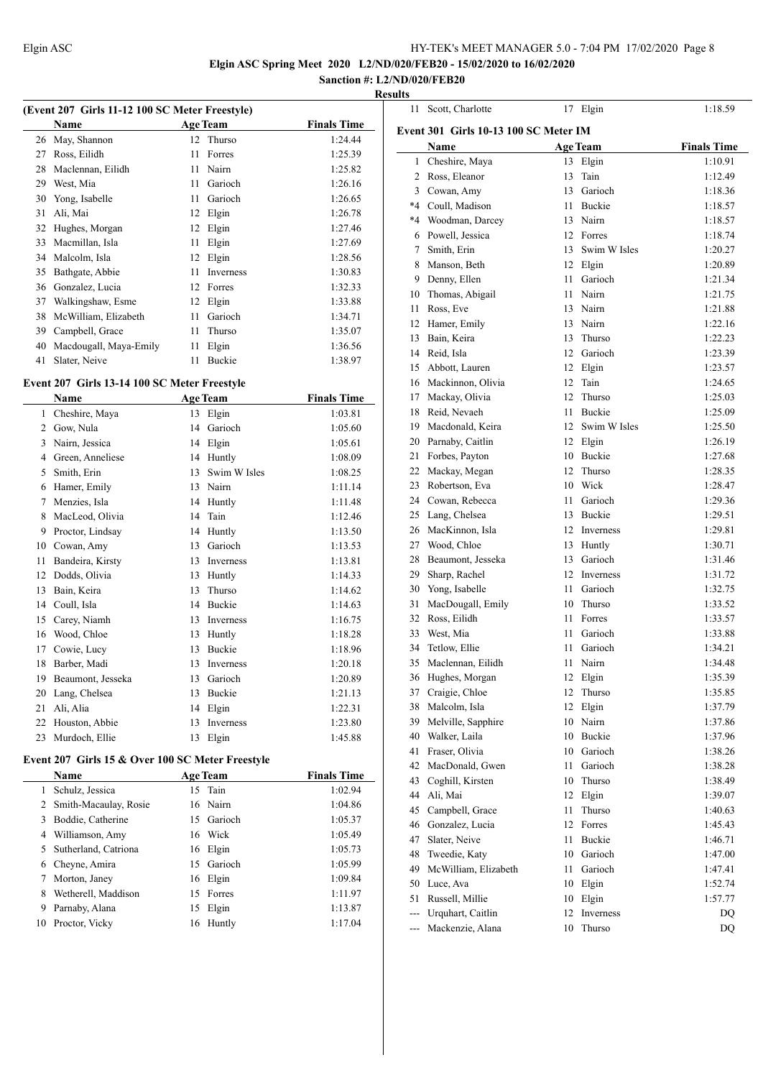**Elgin ASC Spring Meet 2020 L2/ND/020/FEB20 - 15/02/2020 to 16/02/2020**

#### **Sanction #: L2/ND/020/FEB20 Results**

| (Event 207 Girls 11-12 100 SC Meter Freestyle) |                        |    |                 |                    |
|------------------------------------------------|------------------------|----|-----------------|--------------------|
|                                                | Name                   |    | <b>Age Team</b> | <b>Finals Time</b> |
| 26                                             | May, Shannon           | 12 | Thurso          | 1:24.44            |
| 27                                             | Ross, Eilidh           | 11 | Forres          | 1:25.39            |
| 28                                             | Maclennan, Eilidh      | 11 | Nairn           | 1:25.82            |
| 29                                             | West, Mia              | 11 | Garioch         | 1:26.16            |
| 30                                             | Yong, Isabelle         | 11 | Garioch         | 1:26.65            |
| 31                                             | Ali, Mai               | 12 | Elgin           | 1:26.78            |
| 32                                             | Hughes, Morgan         | 12 | Elgin           | 1:27.46            |
| 33                                             | Macmillan, Isla        | 11 | Elgin           | 1:27.69            |
| 34                                             | Malcolm, Isla          | 12 | Elgin           | 1:28.56            |
| 35                                             | Bathgate, Abbie        | 11 | Inverness       | 1:30.83            |
| 36                                             | Gonzalez, Lucia        | 12 | Forres          | 1:32.33            |
| 37                                             | Walkingshaw, Esme      | 12 | Elgin           | 1:33.88            |
| 38                                             | McWilliam, Elizabeth   | 11 | Garioch         | 1:34.71            |
| 39                                             | Campbell, Grace        | 11 | Thurso          | 1:35.07            |
| 40                                             | Macdougall, Maya-Emily | 11 | Elgin           | 1:36.56            |
| 41                                             | Slater, Neive          | 11 | Buckie          | 1:38.97            |

# **Event 207 Girls 13-14 100 SC Meter Freestyle**

|    | Name              |    | <b>Age Team</b>  | <b>Finals Time</b> |
|----|-------------------|----|------------------|--------------------|
| 1  | Cheshire, Maya    | 13 | Elgin            | 1:03.81            |
| 2  | Gow, Nula         | 14 | Garioch          | 1:05.60            |
| 3  | Nairn, Jessica    | 14 | Elgin            | 1:05.61            |
| 4  | Green, Anneliese  | 14 | Huntly           | 1:08.09            |
| 5  | Smith, Erin       | 13 | Swim W Isles     | 1:08.25            |
| 6  | Hamer, Emily      | 13 | Nairn            | 1:11.14            |
| 7  | Menzies, Isla     | 14 | Huntly           | 1:11.48            |
| 8  | MacLeod, Olivia   | 14 | Tain             | 1:12.46            |
| 9  | Proctor, Lindsay  | 14 | Huntly           | 1:13.50            |
| 10 | Cowan, Amy        | 13 | Garioch          | 1:13.53            |
| 11 | Bandeira, Kirsty  | 13 | <b>Inverness</b> | 1:13.81            |
| 12 | Dodds, Olivia     | 13 | Huntly           | 1:14.33            |
| 13 | Bain, Keira       | 13 | Thurso           | 1:14.62            |
| 14 | Coull, Isla       | 14 | Buckie           | 1:14.63            |
| 15 | Carey, Niamh      | 13 | <b>Inverness</b> | 1:16.75            |
| 16 | Wood, Chloe       | 13 | Huntly           | 1:18.28            |
| 17 | Cowie, Lucy       | 13 | <b>Buckie</b>    | 1:18.96            |
| 18 | Barber, Madi      | 13 | Inverness        | 1:20.18            |
| 19 | Beaumont, Jesseka | 13 | Garioch          | 1:20.89            |
| 20 | Lang, Chelsea     | 13 | Buckie           | 1:21.13            |
| 21 | Ali, Alia         | 14 | Elgin            | 1:22.31            |
| 22 | Houston, Abbie    | 13 | Inverness        | 1:23.80            |
| 23 | Murdoch, Ellie    | 13 | Elgin            | 1:45.88            |

#### **Event 207 Girls 15 & Over 100 SC Meter Freestyle**

 $\overline{\phantom{0}}$ 

| <b>Name</b>             |    |       | <b>Finals Time</b>                                                                                                           |
|-------------------------|----|-------|------------------------------------------------------------------------------------------------------------------------------|
| Schulz, Jessica         |    |       | 1:02.94                                                                                                                      |
| 2 Smith-Macaulay, Rosie |    |       | 1:04.86                                                                                                                      |
| Boddie, Catherine       |    |       | 1:05.37                                                                                                                      |
| Williamson, Amy         |    |       | 1:05.49                                                                                                                      |
| Sutherland, Catriona    |    |       | 1:05.73                                                                                                                      |
| Cheyne, Amira           |    |       | 1:05.99                                                                                                                      |
| Morton, Janey           |    |       | 1:09.84                                                                                                                      |
| Wetherell, Maddison     |    |       | 1:11.97                                                                                                                      |
| Parnaby, Alana          | 15 | Elgin | 1:13.87                                                                                                                      |
| Proctor, Vicky          | 16 |       | 1:17.04                                                                                                                      |
|                         |    |       | <b>Age Team</b><br>15 Tain<br>16 Nairn<br>15 Garioch<br>16 Wick<br>16 Elgin<br>15 Garioch<br>16 Elgin<br>15 Forres<br>Huntly |

| 11             | Scott, Charlotte                             |      | 17 Elgin        | 1:18.59            |
|----------------|----------------------------------------------|------|-----------------|--------------------|
|                | <b>Event 301 Girls 10-13 100 SC Meter IM</b> |      |                 |                    |
|                | Name                                         |      | <b>Age Team</b> | <b>Finals Time</b> |
|                | 1 Cheshire, Maya                             |      | 13 Elgin        | 1:10.91            |
|                | 2 Ross, Eleanor                              | 13   | Tain            | 1:12.49            |
|                | 3 Cowan, Amy                                 | 13   | Garioch         | 1:18.36            |
|                | *4 Coull, Madison                            | 11   | Buckie          | 1:18.57            |
|                | *4 Woodman, Darcey                           |      | 13 Nairn        | 1:18.57            |
|                | 6 Powell, Jessica                            |      | 12 Forres       | 1:18.74            |
|                | 7 Smith, Erin                                | 13   | Swim W Isles    | 1:20.27            |
|                | 8 Manson, Beth                               |      | 12 Elgin        | 1:20.89            |
|                | 9 Denny, Ellen                               | 11 - | Garioch         | 1:21.34            |
|                | 10 Thomas, Abigail                           | 11   | Nairn           | 1:21.75            |
|                | 11 Ross, Eve                                 |      | 13 Nairn        | 1:21.88            |
|                | 12 Hamer, Emily                              |      | 13 Nairn        | 1:22.16            |
|                | 13 Bain, Keira                               | 13   | Thurso          | 1:22.23            |
|                | 14 Reid, Isla                                |      | 12 Garioch      | 1:23.39            |
|                | 15 Abbott, Lauren                            |      | 12 Elgin        | 1:23.57            |
|                | 16 Mackinnon, Olivia                         | 12   | Tain            | 1:24.65            |
|                | 17 Mackay, Olivia                            | 12   | Thurso          | 1:25.03            |
|                | 18 Reid, Nevaeh                              | 11   | <b>Buckie</b>   | 1:25.09            |
|                | 19 Macdonald, Keira                          | 12   | Swim W Isles    | 1:25.50            |
|                | 20 Parnaby, Caitlin                          |      | 12 Elgin        | 1:26.19            |
|                | 21 Forbes, Payton                            |      | 10 Buckie       | 1:27.68            |
|                | 22 Mackay, Megan                             | 12   | Thurso          | 1:28.35            |
|                | 23 Robertson, Eva                            |      | 10 Wick         | 1:28.47            |
|                | 24 Cowan, Rebecca                            | 11   | Garioch         | 1:29.36            |
|                | 25 Lang, Chelsea                             |      | 13 Buckie       | 1:29.51            |
|                | 26 MacKinnon, Isla                           |      | 12 Inverness    | 1:29.81            |
|                | 27 Wood, Chloe                               |      | 13 Huntly       | 1:30.71            |
|                | 28 Beaumont, Jesseka                         | 13   | Garioch         | 1:31.46            |
|                | 29 Sharp, Rachel                             | 12   | Inverness       | 1:31.72            |
|                | 30 Yong, Isabelle                            | 11   | Garioch         | 1:32.75            |
| 31             | MacDougall, Emily                            | 10   | Thurso          | 1:33.52            |
|                | 32 Ross, Eilidh                              | 11   | Forres          | 1:33.57            |
|                | 33 West, Mia                                 | 11   | Garioch         | 1:33.88            |
| 34             | Tetlow, Ellie                                | 11.  | Garioch         | 1:34.21            |
|                | 35 Maclennan, Eilidh                         | 11 - | Nairn           | 1:34.48            |
|                | 36 Hughes, Morgan                            |      | 12 Elgin        | 1:35.39            |
|                | 37 Craigie, Chloe                            |      | 12 Thurso       | 1:35.85            |
|                | 38 Malcolm, Isla                             |      | 12 Elgin        | 1:37.79            |
|                | 39 Melville, Sapphire                        |      | 10 Nairn        | 1:37.86            |
|                | 40 Walker, Laila                             |      | 10 Buckie       | 1:37.96            |
| 41             | Fraser, Olivia                               | 10   | Garioch         | 1:38.26            |
|                | 42 MacDonald, Gwen                           | 11   | Garioch         | 1:38.28            |
|                | 43 Coghill, Kirsten                          | 10   | Thurso          | 1:38.49            |
|                | 44 Ali, Mai                                  | 12   | Elgin           | 1:39.07            |
|                | 45 Campbell, Grace                           | 11   | Thurso          |                    |
|                | 46 Gonzalez, Lucia                           | 12   | Forres          | 1:40.63<br>1:45.43 |
|                | 47 Slater, Neive                             | 11   | Buckie          | 1:46.71            |
|                |                                              |      | 10 Garioch      | 1:47.00            |
|                | 48 Tweedie, Katy<br>49 McWilliam, Elizabeth  |      |                 |                    |
|                | 50 Luce, Ava                                 | 11   | Garioch         | 1:47.41            |
| 51             | Russell, Millie                              |      | 10 Elgin        | 1:52.74<br>1:57.77 |
|                | --- Urquhart, Caitlin                        | 10   | Elgin           |                    |
|                | Mackenzie, Alana                             | 12   | Inverness       | DQ                 |
| $\overline{a}$ |                                              | 10   | Thurso          | DQ                 |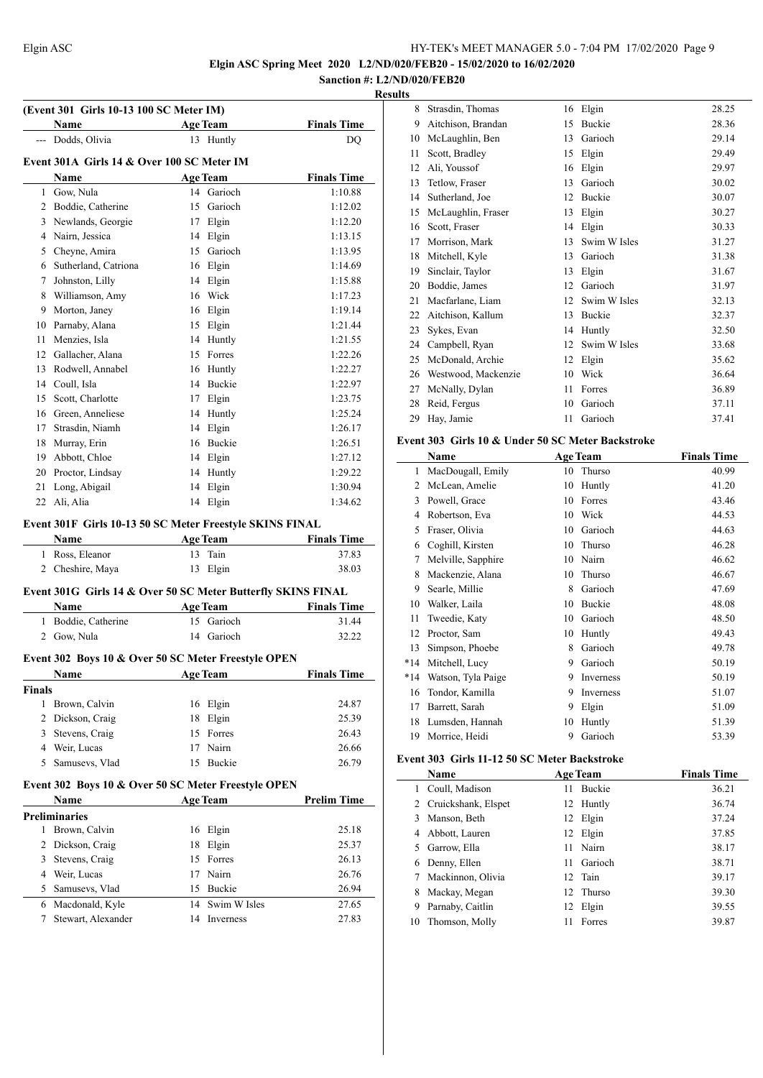**Elgin ASC Spring Meet 2020 L2/ND/020/FEB20 - 15/02/2020 to 16/02/2020**

#### **Sanction #: L2/ND/020/FEB20 Results**

 $\overline{a}$ 

| (Event 301 Girls 10-13 100 SC Meter IM) |                                                                  |    |                 |                    |  |
|-----------------------------------------|------------------------------------------------------------------|----|-----------------|--------------------|--|
|                                         | Name                                                             |    | <b>Age Team</b> | <b>Finals Time</b> |  |
|                                         | --- Dodds, Olivia                                                |    | 13 Huntly       | DO                 |  |
|                                         | Event 301A Girls 14 & Over 100 SC Meter IM                       |    |                 |                    |  |
|                                         | Name                                                             |    | <b>Age Team</b> | <b>Finals Time</b> |  |
|                                         | 1 Gow, Nula                                                      |    | 14 Garioch      | 1:10.88            |  |
|                                         | 2 Boddie, Catherine                                              |    | 15 Garioch      | 1:12.02            |  |
|                                         | 3 Newlands, Georgie                                              |    | 17 Elgin        | 1:12.20            |  |
|                                         | 4 Nairn, Jessica                                                 |    | 14 Elgin        | 1:13.15            |  |
|                                         | 5 Cheyne, Amira                                                  |    | 15 Garioch      | 1:13.95            |  |
|                                         | 6 Sutherland, Catriona                                           |    | 16 Elgin        | 1:14.69            |  |
| 7                                       | Johnston, Lilly                                                  |    | 14 Elgin        | 1:15.88            |  |
|                                         | 8 Williamson, Amy                                                |    | 16 Wick         | 1:17.23            |  |
|                                         | 9 Morton, Janey                                                  |    | 16 Elgin        | 1:19.14            |  |
|                                         | 10 Parnaby, Alana                                                |    | 15 Elgin        | 1:21.44            |  |
| 11                                      | Menzies, Isla                                                    |    | 14 Huntly       | 1:21.55            |  |
| 12                                      | Gallacher, Alana                                                 |    | 15 Forres       | 1:22.26            |  |
|                                         | 13 Rodwell, Annabel                                              |    | 16 Huntly       | 1:22.27            |  |
|                                         | 14 Coull, Isla                                                   |    | 14 Buckie       | 1:22.97            |  |
|                                         | 15 Scott, Charlotte                                              |    | 17 Elgin        | 1:23.75            |  |
|                                         | 16 Green, Anneliese                                              |    | 14 Huntly       | 1:25.24            |  |
|                                         | 17 Strasdin, Niamh                                               |    | 14 Elgin        | 1:26.17            |  |
|                                         | 18 Murray, Erin                                                  |    | 16 Buckie       | 1:26.51            |  |
|                                         | 19 Abbott, Chloe                                                 |    | 14 Elgin        | 1:27.12            |  |
|                                         | 20 Proctor, Lindsay                                              |    | 14 Huntly       | 1:29.22            |  |
| 21                                      | Long, Abigail                                                    | 14 | Elgin           | 1:30.94            |  |
| 22                                      | Ali, Alia                                                        | 14 | Elgin           | 1:34.62            |  |
|                                         |                                                                  |    |                 |                    |  |
|                                         | Event 301F Girls 10-13 50 SC Meter Freestyle SKINS FINAL<br>Name |    | <b>Age Team</b> | <b>Finals Time</b> |  |
|                                         |                                                                  | 13 | Tain            |                    |  |
|                                         | 1 Ross, Eleanor                                                  |    |                 | 37.83              |  |
|                                         | 2 Cheshire, Maya                                                 | 13 | Elgin           | 38.03              |  |
|                                         | Event 301G Girls 14 & Over 50 SC Meter Butterfly SKINS FINAL     |    |                 |                    |  |
|                                         | Name                                                             |    | <b>Age Team</b> | <b>Finals Time</b> |  |
|                                         | 1 Boddie, Catherine                                              |    | 15 Garioch      | 31.44              |  |
|                                         | 2 Gow, Nula                                                      | 14 | Garioch         | 32.22              |  |
|                                         | Event 302 Boys 10 & Over 50 SC Meter Freestyle OPEN              |    |                 |                    |  |
|                                         | Name Age Team                                                    |    |                 | <b>Finals Time</b> |  |
| <b>Finals</b>                           |                                                                  |    |                 |                    |  |
|                                         | 1 Brown, Calvin                                                  |    | 16 Elgin        | 24.87              |  |
|                                         | 2 Dickson, Craig                                                 |    | 18 Elgin        | 25.39              |  |
|                                         | 3 Stevens, Craig                                                 | 15 | Forres          | 26.43              |  |
|                                         | 4 Weir, Lucas                                                    | 17 | Nairn           | 26.66              |  |
| 5                                       | Samusevs, Vlad                                                   |    | 15 Buckie       | 26.79              |  |
|                                         |                                                                  |    |                 |                    |  |
|                                         | Event 302 Boys 10 & Over 50 SC Meter Freestyle OPEN              |    |                 |                    |  |
|                                         | Name                                                             |    | <b>Age Team</b> | <b>Prelim Time</b> |  |
| 1                                       | <b>Preliminaries</b>                                             |    |                 |                    |  |
|                                         | Brown, Calvin                                                    | 16 | Elgin           | 25.18              |  |
|                                         | 2 Dickson, Craig                                                 | 18 | Elgin           | 25.37              |  |
|                                         | 3 Stevens, Craig                                                 |    | 15 Forres       | 26.13              |  |
|                                         | 4 Weir, Lucas                                                    |    | 17 Nairn        | 26.76              |  |
|                                         | 5 Samusevs, Vlad                                                 |    | 15 Buckie       | 26.94              |  |
|                                         | 6 Macdonald, Kyle                                                |    | 14 Swim W Isles | 27.65              |  |
| 7                                       | Stewart, Alexander                                               |    | 14 Inverness    | 27.83              |  |

| پ  |                     |    |              |       |
|----|---------------------|----|--------------|-------|
| 8  | Strasdin, Thomas    | 16 | Elgin        | 28.25 |
| 9  | Aitchison, Brandan  | 15 | Buckie       | 28.36 |
| 10 | McLaughlin, Ben     | 13 | Garioch      | 29.14 |
| 11 | Scott, Bradley      | 15 | Elgin        | 29.49 |
| 12 | Ali, Youssof        | 16 | Elgin        | 29.97 |
| 13 | Tetlow, Fraser      | 13 | Garioch      | 30.02 |
| 14 | Sutherland, Joe     | 12 | Buckie       | 30.07 |
| 15 | McLaughlin, Fraser  | 13 | Elgin        | 30.27 |
| 16 | Scott, Fraser       | 14 | Elgin        | 30.33 |
| 17 | Morrison, Mark      | 13 | Swim W Isles | 31.27 |
| 18 | Mitchell, Kyle      | 13 | Garioch      | 31.38 |
| 19 | Sinclair, Taylor    | 13 | Elgin        | 31.67 |
| 20 | Boddie, James       | 12 | Garioch      | 31.97 |
| 21 | Macfarlane, Liam    | 12 | Swim W Isles | 32.13 |
| 22 | Aitchison, Kallum   | 13 | Buckie       | 32.37 |
| 23 | Sykes, Evan         | 14 | Huntly       | 32.50 |
| 24 | Campbell, Ryan      | 12 | Swim W Isles | 33.68 |
| 25 | McDonald, Archie    | 12 | Elgin        | 35.62 |
| 26 | Westwood, Mackenzie | 10 | Wick         | 36.64 |
| 27 | McNally, Dylan      | 11 | Forres       | 36.89 |
| 28 | Reid, Fergus        | 10 | Garioch      | 37.11 |
| 29 | Hay, Jamie          | 11 | Garioch      | 37.41 |
|    |                     |    |              |       |

#### **Event 303 Girls 10 & Under 50 SC Meter Backstroke**

|       | Name               |    | <b>Age Team</b> | <b>Finals Time</b> |
|-------|--------------------|----|-----------------|--------------------|
| 1     | MacDougall, Emily  | 10 | Thurso          | 40.99              |
| 2     | McLean, Amelie     | 10 | Huntly          | 41.20              |
| 3     | Powell, Grace      | 10 | Forres          | 43.46              |
| 4     | Robertson, Eva     | 10 | Wick            | 44.53              |
| 5     | Fraser, Olivia     | 10 | Garioch         | 44.63              |
| 6     | Coghill, Kirsten   | 10 | Thurso          | 46.28              |
| 7     | Melville, Sapphire | 10 | Nairn           | 46.62              |
| 8     | Mackenzie, Alana   | 10 | Thurso          | 46.67              |
| 9     | Searle, Millie     | 8  | Garioch         | 47.69              |
| 10    | Walker, Laila      | 10 | Buckie          | 48.08              |
| 11    | Tweedie, Katy      | 10 | Garioch         | 48.50              |
| 12    | Proctor, Sam       | 10 | Huntly          | 49.43              |
| 13    | Simpson, Phoebe    | 8  | Garioch         | 49.78              |
| $*14$ | Mitchell, Lucy     | 9  | Garioch         | 50.19              |
| $*14$ | Watson, Tyla Paige | 9  | Inverness       | 50.19              |
| 16    | Tondor, Kamilla    | 9  | Inverness       | 51.07              |
| 17    | Barrett, Sarah     | 9  | Elgin           | 51.09              |
| 18    | Lumsden, Hannah    | 10 | Huntly          | 51.39              |
| 19    | Morrice, Heidi     | 9  | Garioch         | 53.39              |

#### **Event 303 Girls 11-12 50 SC Meter Backstroke**

|    | Name                  |    | <b>Age Team</b> | <b>Finals Time</b> |
|----|-----------------------|----|-----------------|--------------------|
| 1. | Coull, Madison        | 11 | <b>Buckie</b>   | 36.21              |
|    | 2 Cruickshank, Elspet |    | 12 Huntly       | 36.74              |
| 3  | Manson, Beth          | 12 | Elgin           | 37.24              |
|    | 4 Abbott, Lauren      | 12 | Elgin           | 37.85              |
| 5. | Garrow, Ella          | 11 | Nairn           | 38.17              |
| 6  | Denny, Ellen          | 11 | Garioch         | 38.71              |
|    | Mackinnon, Olivia     |    | 12 Tain         | 39.17              |
| 8  | Mackay, Megan         |    | 12 Thurso       | 39.30              |
| 9  | Parnaby, Caitlin      | 12 | Elgin           | 39.55              |
| 10 | Thomson, Molly        | 11 | Forres          | 39.87              |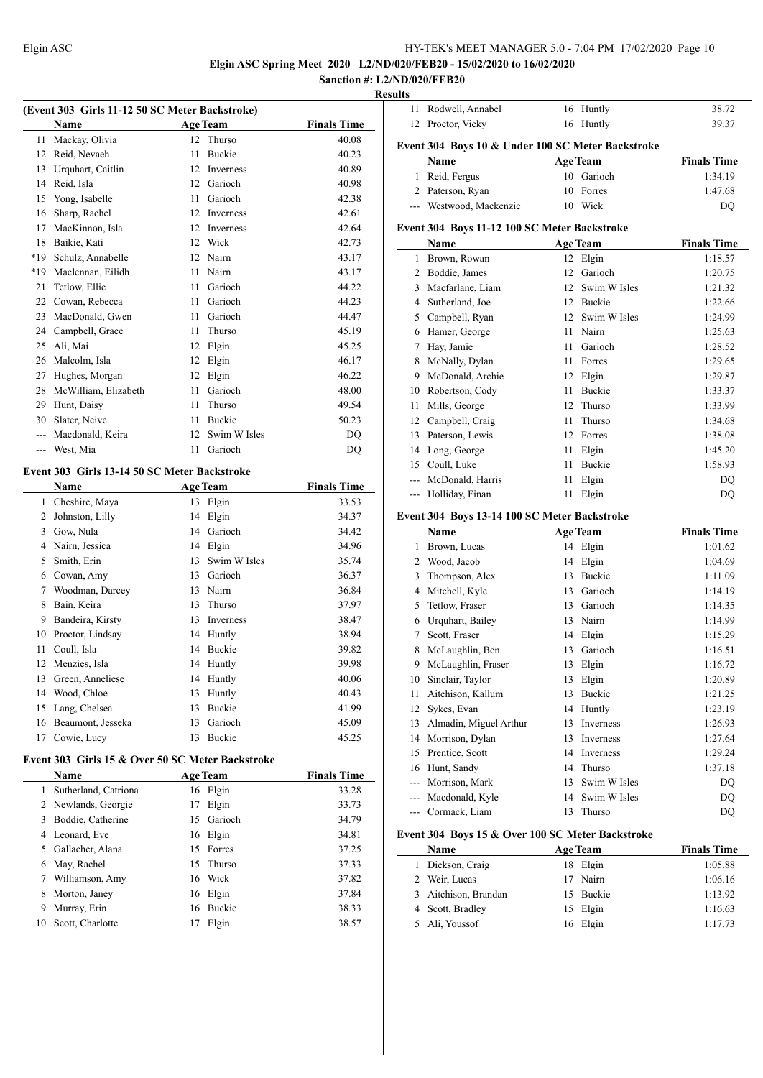**Elgin ASC Spring Meet 2020 L2/ND/020/FEB20 - 15/02/2020 to 16/02/2020 Sanction #: L2/ND/020/FEB20**

# **Results**

| (Event 303 Girls 11-12 50 SC Meter Backstroke) |                                                  |          |                   |                    |  |
|------------------------------------------------|--------------------------------------------------|----------|-------------------|--------------------|--|
|                                                | Name                                             |          | <b>Age Team</b>   | <b>Finals Time</b> |  |
| 11                                             | Mackay, Olivia                                   | 12       | Thurso            | 40.08              |  |
| 12                                             | Reid, Nevaeh                                     | 11       | <b>Buckie</b>     | 40.23              |  |
| 13                                             | Urquhart, Caitlin                                | 12       | Inverness         | 40.89              |  |
| 14                                             | Reid, Isla                                       |          | 12 Garioch        | 40.98              |  |
| 15                                             | Yong, Isabelle                                   |          | 11 Garioch        | 42.38              |  |
|                                                | 16 Sharp, Rachel                                 | 12       | Inverness         | 42.61              |  |
| 17                                             | MacKinnon, Isla                                  | 12       | <b>Inverness</b>  | 42.64              |  |
| 18                                             | Baikie, Kati                                     |          | 12 Wick           | 42.73              |  |
| *19                                            | Schulz, Annabelle                                | 12       | Nairn             | 43.17              |  |
| *19                                            | Maclennan, Eilidh                                | 11       | Nairn             | 43.17              |  |
| 21                                             | Tetlow, Ellie                                    | 11       | Garioch           | 44.22              |  |
| 22                                             | Cowan, Rebecca                                   | 11       | Garioch           | 44.23              |  |
| 23                                             | MacDonald, Gwen                                  | 11       | Garioch           | 44.47              |  |
| 24                                             | Campbell, Grace                                  | 11       | Thurso            | 45.19              |  |
| 25                                             | Ali, Mai                                         | 12       | Elgin             | 45.25              |  |
| 26                                             | Malcolm, Isla                                    | 12       | Elgin             | 46.17              |  |
| 27                                             | Hughes, Morgan                                   | 12       | Elgin             | 46.22              |  |
| 28                                             | McWilliam, Elizabeth                             |          | 11 Garioch        | 48.00              |  |
| 29                                             | Hunt, Daisy                                      | 11       | Thurso            | 49.54              |  |
|                                                | 30 Slater, Neive                                 | 11       | <b>Buckie</b>     | 50.23              |  |
|                                                | --- Macdonald, Keira                             | 12       | Swim W Isles      | DQ                 |  |
|                                                | --- West, Mia                                    | 11       | Garioch           | DQ                 |  |
|                                                | Event 303 Girls 13-14 50 SC Meter Backstroke     |          |                   |                    |  |
|                                                | Name                                             |          | <b>Age Team</b>   | <b>Finals Time</b> |  |
| $\mathbf{1}$                                   | Cheshire, Maya                                   |          | 13 Elgin          | 33.53              |  |
| $\overline{2}$                                 | Johnston, Lilly                                  | 14       | Elgin             | 34.37              |  |
| 3                                              | Gow, Nula                                        |          | 14 Garioch        | 34.42              |  |
|                                                | 4 Nairn, Jessica                                 |          | 14 Elgin          | 34.96              |  |
| 5                                              | Smith, Erin                                      | 13       | Swim W Isles      | 35.74              |  |
|                                                | 6 Cowan, Amy                                     |          | 13 Garioch        | 36.37              |  |
| 7                                              | Woodman, Darcey                                  | 13       | Nairn             | 36.84              |  |
| 8                                              | Bain, Keira                                      | 13       | Thurso            | 37.97              |  |
| 9                                              | Bandeira, Kirsty                                 | 13       | Inverness         | 38.47              |  |
| 10                                             | Proctor, Lindsay                                 | 14       | Huntly            | 38.94              |  |
| 11                                             | Coull, Isla                                      | 14       | Buckie            | 39.82              |  |
|                                                | 12 Menzies, Isla                                 | 14       | Huntly            | 39.98              |  |
| 13                                             | Green, Anneliese                                 | 14       | Huntly            | 40.06              |  |
| 14                                             | Wood, Chloe                                      | 13       | Huntly            | 40.43              |  |
| 15                                             | Lang, Chelsea                                    | 13       | Buckie            | 41.99              |  |
| 16                                             | Beaumont, Jesseka                                | 13       | Garioch           | 45.09              |  |
| 17                                             | Cowie, Lucy                                      | 13       | Buckie            | 45.25              |  |
|                                                |                                                  |          |                   |                    |  |
|                                                | Event 303 Girls 15 & Over 50 SC Meter Backstroke |          |                   |                    |  |
|                                                | Name                                             |          | <b>Age Team</b>   | <b>Finals Time</b> |  |
| 1                                              | Sutherland, Catriona                             |          | 16 Elgin<br>Elgin | 33.28              |  |
| 2<br>3                                         | Newlands, Georgie<br>Boddie, Catherine           | 17<br>15 | Garioch           | 33.73<br>34.79     |  |
| $\overline{4}$                                 | Leonard, Eve                                     |          | Elgin             |                    |  |
| 5                                              | Gallacher, Alana                                 | 16<br>15 | Forres            | 34.81<br>37.25     |  |
| 6                                              |                                                  | 15       | Thurso            | 37.33              |  |
| 7                                              | May, Rachel<br>Williamson, Amy                   |          | Wick              | 37.82              |  |
| 8                                              | Morton, Janey                                    | 16<br>16 | Elgin             | 37.84              |  |
|                                                |                                                  |          |                   |                    |  |

 Murray, Erin 16 Buckie 38.33 10 Scott, Charlotte 17 Elgin 38.57

| 11                                               | Rodwell, Annabel                                  | 16   | Huntly          | 38.72              |  |  |  |
|--------------------------------------------------|---------------------------------------------------|------|-----------------|--------------------|--|--|--|
|                                                  | 12 Proctor, Vicky                                 |      | 16 Huntly       | 39.37              |  |  |  |
|                                                  | Event 304 Boys 10 & Under 100 SC Meter Backstroke |      |                 |                    |  |  |  |
|                                                  | Name                                              |      | <b>Age Team</b> | <b>Finals Time</b> |  |  |  |
| $\mathbf{1}$                                     | Reid, Fergus                                      | 10   | Garioch         | 1:34.19            |  |  |  |
|                                                  | 2 Paterson, Ryan                                  | 10   | Forres          | 1:47.68            |  |  |  |
|                                                  | --- Westwood, Mackenzie                           |      | 10 Wick         | DQ                 |  |  |  |
|                                                  | Event 304 Boys 11-12 100 SC Meter Backstroke      |      |                 |                    |  |  |  |
|                                                  | Name                                              |      | <b>Age Team</b> | <b>Finals Time</b> |  |  |  |
| 1                                                | Brown, Rowan                                      |      | 12 Elgin        | 1:18.57            |  |  |  |
|                                                  | 2 Boddie, James                                   |      | 12 Garioch      | 1:20.75            |  |  |  |
|                                                  | 3 Macfarlane, Liam                                |      | 12 Swim W Isles | 1:21.32            |  |  |  |
|                                                  | 4 Sutherland, Joe                                 |      | 12 Buckie       | 1:22.66            |  |  |  |
|                                                  | 5 Campbell, Ryan                                  |      | 12 Swim W Isles | 1:24.99            |  |  |  |
|                                                  | 6 Hamer, George                                   |      | 11 Nairn        | 1:25.63            |  |  |  |
| 7                                                | Hay, Jamie                                        | 11   | Garioch         | 1:28.52            |  |  |  |
| 8                                                | McNally, Dylan                                    | 11 - | Forres          | 1:29.65            |  |  |  |
|                                                  | 9 McDonald, Archie                                |      | 12 Elgin        | 1:29.87            |  |  |  |
|                                                  | 10 Robertson, Cody                                | 11 - | Buckie          | 1:33.37            |  |  |  |
| 11                                               | Mills, George                                     | 12   | Thurso          | 1:33.99            |  |  |  |
|                                                  | 12 Campbell, Craig                                | 11   | Thurso          | 1:34.68            |  |  |  |
| 13                                               | Paterson, Lewis                                   |      | 12 Forres       | 1:38.08            |  |  |  |
|                                                  | 14 Long, George                                   |      | 11 Elgin        | 1:45.20            |  |  |  |
|                                                  | 15 Coull, Luke                                    |      | 11 Buckie       | 1:58.93            |  |  |  |
|                                                  | --- McDonald, Harris                              | 11   | Elgin           | DQ                 |  |  |  |
|                                                  | --- Holliday, Finan                               | 11   | Elgin           | DQ                 |  |  |  |
|                                                  | Event 304 Boys 13-14 100 SC Meter Backstroke      |      |                 |                    |  |  |  |
|                                                  | Name                                              |      | <b>Age Team</b> | <b>Finals Time</b> |  |  |  |
| 1                                                | Brown, Lucas                                      |      | 14 Elgin        | 1:01.62            |  |  |  |
|                                                  | 2 Wood, Jacob                                     | 14   | Elgin           | 1:04.69            |  |  |  |
| 3                                                | Thompson, Alex                                    |      | 13 Buckie       | 1:11.09            |  |  |  |
|                                                  | 4 Mitchell, Kyle                                  |      | 13 Garioch      | 1:14.19            |  |  |  |
| 5                                                | Tetlow, Fraser                                    |      | 13 Garioch      | 1:14.35            |  |  |  |
|                                                  | 6 Urquhart, Bailey                                |      | 13 Nairn        | 1:14.99            |  |  |  |
| 7                                                | Scott, Fraser                                     |      | 14 Elgin        | 1:15.29            |  |  |  |
| 8                                                | McLaughlin, Ben                                   |      | 13 Garioch      | 1:16.51            |  |  |  |
|                                                  | 9 McLaughlin, Fraser                              |      | 13 Elgin        | 1:16.72            |  |  |  |
|                                                  | 10 Sinclair, Taylor                               |      | 13 Elgin        | 1:20.89            |  |  |  |
|                                                  | 11 Aitchison, Kallum                              |      | 13 Buckie       | 1:21.25            |  |  |  |
| 12                                               | Sykes, Evan                                       | 14   | Huntly          | 1:23.19            |  |  |  |
|                                                  | 13 Almadin, Miguel Arthur                         | 13   | Inverness       | 1:26.93            |  |  |  |
|                                                  | 14 Morrison, Dylan                                | 13   | Inverness       | 1:27.64            |  |  |  |
|                                                  | 15 Prentice, Scott                                |      | 14 Inverness    | 1:29.24            |  |  |  |
|                                                  | 16 Hunt, Sandy                                    |      | 14 Thurso       | 1:37.18            |  |  |  |
|                                                  | --- Morrison, Mark                                | 13   | Swim W Isles    | DQ                 |  |  |  |
|                                                  | --- Macdonald, Kyle                               | 14   | Swim W Isles    | DQ                 |  |  |  |
| $\overline{a}$                                   | Cormack, Liam                                     | 13   | Thurso          | DQ                 |  |  |  |
| Event 304 Boys 15 & Over 100 SC Meter Backstroke |                                                   |      |                 |                    |  |  |  |

| <b>Name</b>          | <b>Age Team</b> | <b>Finals Time</b> |
|----------------------|-----------------|--------------------|
| 1 Dickson, Craig     | 18 Elgin        | 1:05.88            |
| 2 Weir, Lucas        | 17 Nairn        | 1:06.16            |
| 3 Aitchison, Brandan | 15 Buckie       | 1:13.92            |
| 4 Scott, Bradley     | 15 Elgin        | 1:16.63            |
| 5 Ali, Youssof       | 16 Elgin        | 1:17.73            |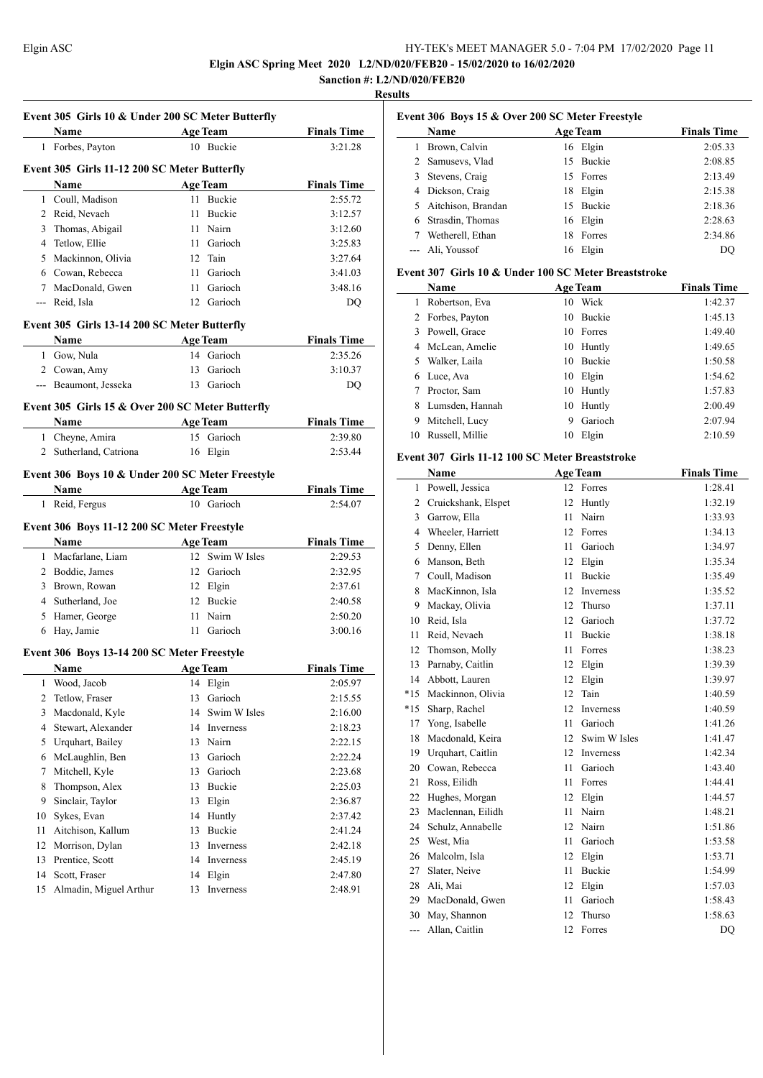**Elgin ASC Spring Meet 2020 L2/ND/020/FEB20 - 15/02/2020 to 16/02/2020**

### **Sanction #: L2/ND/020/FEB20 Results**

 $\overline{\phantom{a}}$ 

|        | Event 305 Girls 10 & Under 200 SC Meter Butterfly |                 |                 |                    |
|--------|---------------------------------------------------|-----------------|-----------------|--------------------|
|        | Name                                              |                 | <b>Age Team</b> | <b>Finals Time</b> |
|        | 1 Forbes, Payton                                  |                 | 10 Buckie       | 3:21.28            |
|        | Event 305 Girls 11-12 200 SC Meter Butterfly      |                 |                 |                    |
|        | Name                                              |                 | <b>Age Team</b> | <b>Finals Time</b> |
|        | 1 Coull, Madison                                  | 11.             | Buckie          | 2:55.72            |
|        | 2 Reid, Nevaeh                                    |                 | 11 Buckie       | 3:12.57            |
| 3      | Thomas, Abigail                                   |                 | 11 Nairn        | 3:12.60            |
|        | 4 Tetlow, Ellie                                   |                 | 11 Garioch      | 3:25.83            |
|        | 5 Mackinnon, Olivia                               |                 | 12 Tain         | 3:27.64            |
|        | 6 Cowan, Rebecca                                  |                 | 11 Garioch      | 3:41.03            |
|        | 7 MacDonald, Gwen                                 |                 | 11 Garioch      | 3:48.16            |
|        | --- Reid, Isla                                    |                 | 12 Garioch      | DQ                 |
|        | Event 305 Girls 13-14 200 SC Meter Butterfly      |                 |                 |                    |
|        | Name                                              |                 | <b>Age Team</b> | <b>Finals Time</b> |
|        | 1 Gow, Nula                                       |                 | 14 Garioch      | 2:35.26            |
|        | 2 Cowan, Amy                                      |                 | 13 Garioch      | 3:10.37            |
|        | --- Beaumont, Jesseka                             |                 | 13 Garioch      | DQ                 |
|        |                                                   |                 |                 |                    |
|        | Event 305 Girls 15 & Over 200 SC Meter Butterfly  |                 |                 |                    |
|        | Name                                              |                 | <b>Age Team</b> | <b>Finals Time</b> |
|        | 1 Cheyne, Amira                                   |                 | 15 Garioch      | 2:39.80            |
|        | 2 Sutherland, Catriona                            |                 | 16 Elgin        | 2:53.44            |
|        | Event 306 Boys 10 & Under 200 SC Meter Freestyle  |                 |                 |                    |
|        | Name                                              |                 | <b>Age Team</b> | <b>Finals Time</b> |
|        | 1 Reid, Fergus                                    |                 | 10 Garioch      | 2:54.07            |
|        | Event 306 Boys 11-12 200 SC Meter Freestyle       |                 |                 |                    |
|        | Name                                              |                 | <b>Age Team</b> | <b>Finals Time</b> |
| 1      | Macfarlane, Liam                                  |                 | 12 Swim W Isles | 2:29.53            |
|        | 2 Boddie, James                                   |                 | 12 Garioch      | 2:32.95            |
|        | 3 Brown, Rowan                                    |                 | 12 Elgin        | 2:37.61            |
|        | 4 Sutherland, Joe                                 |                 | 12 Buckie       | 2:40.58            |
|        | 5 Hamer, George                                   |                 | 11 Nairn        | 2:50.20            |
|        | 6 Hay, Jamie                                      |                 | 11 Garioch      | 3:00.16            |
|        | Event 306 Boys 13-14 200 SC Meter Freestyle       |                 |                 |                    |
|        | Name                                              | <b>Age Team</b> |                 | <b>Finals Time</b> |
| 1      | Wood, Jacob                                       | 14              | Elgin           | 2:05.97            |
| 2      | Tetlow, Fraser                                    | 13              | Garioch         | 2:15.55            |
| 3      | Macdonald, Kyle                                   | 14              | Swim W Isles    | 2:16.00            |
| 4      | Stewart, Alexander                                |                 | 14 Inverness    | 2:18.23            |
| 5      | Urquhart, Bailey                                  | 13              | Nairn           | 2:22.15            |
| 6      | McLaughlin, Ben                                   | 13              | Garioch         | 2:22.24            |
| 7      | Mitchell, Kyle                                    |                 | 13 Garioch      | 2:23.68            |
|        |                                                   |                 |                 |                    |
| 8<br>9 | Thompson, Alex                                    | 13              | Buckie          | 2:25.03            |
|        | Sinclair, Taylor                                  | 13              | Elgin           | 2:36.87            |
| 10     | Sykes, Evan<br>Aitchison, Kallum                  | 14              | Huntly          | 2:37.42            |
| 11     |                                                   | 13              | Buckie          | 2:41.24            |
| 12     | Morrison, Dylan                                   | 13              | Inverness       | 2:42.18            |
| 13     | Prentice, Scott                                   | 14              | Inverness       | 2:45.19            |
| 14     | Scott, Fraser                                     | 14              | Elgin           | 2:47.80            |
| 15     | Almadin, Miguel Arthur                            | 13              | Inverness       | 2:48.91            |
|        |                                                   |                 |                 |                    |

|   | Name                 |    | <b>Age Team</b> | <b>Finals Time</b> |
|---|----------------------|----|-----------------|--------------------|
| 1 | Brown, Calvin        |    | 16 Elgin        | 2:05.33            |
|   | 2 Samusevs, Vlad     | 15 | <b>Buckie</b>   | 2:08.85            |
|   | 3 Stevens, Craig     |    | 15 Forres       | 2:13.49            |
| 4 | Dickson, Craig       | 18 | Elgin           | 2:15.38            |
|   | 5 Aitchison, Brandan | 15 | <b>Buckie</b>   | 2:18.36            |
| 6 | Strasdin, Thomas     |    | 16 Elgin        | 2:28.63            |
|   | Wetherell, Ethan     | 18 | Forres          | 2:34.86            |
|   | Ali, Youssof         | 16 | Elgin           | DO                 |

#### **Event 307 Girls 10 & Under 100 SC Meter Breaststroke**

|    | Name             |    | <b>Age Team</b> | <b>Finals Time</b> |
|----|------------------|----|-----------------|--------------------|
| 1  | Robertson, Eva   |    | 10 Wick         | 1:42.37            |
|    | 2 Forbes, Payton | 10 | <b>Buckie</b>   | 1:45.13            |
| 3  | Powell, Grace    |    | 10 Forres       | 1:49.40            |
| 4  | McLean, Amelie   |    | 10 Huntly       | 1:49.65            |
| 5  | Walker, Laila    | 10 | <b>Buckie</b>   | 1:50.58            |
| 6  | Luce, Ava        | 10 | Elgin           | 1:54.62            |
|    | Proctor, Sam     | 10 | Huntly          | 1:57.83            |
| 8  | Lumsden, Hannah  | 10 | Huntly          | 2:00.49            |
| 9  | Mitchell, Lucy   | 9  | Garioch         | 2:07.94            |
| 10 | Russell, Millie  | 10 | Elgin           | 2:10.59            |

#### **Event 307 Girls 11-12 100 SC Meter Breaststroke**

|       | Name                |    | <b>Age Team</b>  | <b>Finals Time</b> |
|-------|---------------------|----|------------------|--------------------|
| 1     | Powell, Jessica     |    | 12 Forres        | 1:28.41            |
| 2     | Cruickshank, Elspet | 12 | Huntly           | 1:32.19            |
| 3     | Garrow, Ella        | 11 | Nairn            | 1:33.93            |
| 4     | Wheeler, Harriett   | 12 | Forres           | 1:34.13            |
| 5     | Denny, Ellen        | 11 | Garioch          | 1:34.97            |
| 6     | Manson, Beth        | 12 | Elgin            | 1:35.34            |
| 7     | Coull, Madison      | 11 | Buckie           | 1:35.49            |
| 8     | MacKinnon, Isla     | 12 | <b>Inverness</b> | 1:35.52            |
| 9     | Mackay, Olivia      | 12 | Thurso           | 1:37.11            |
| 10    | Reid, Isla          | 12 | Garioch          | 1:37.72            |
| 11    | Reid, Nevaeh        | 11 | <b>Buckie</b>    | 1:38.18            |
| 12    | Thomson, Molly      | 11 | Forres           | 1:38.23            |
| 13    | Parnaby, Caitlin    | 12 | Elgin            | 1:39.39            |
| 14    | Abbott, Lauren      | 12 | Elgin            | 1:39.97            |
| $*15$ | Mackinnon, Olivia   | 12 | Tain             | 1:40.59            |
| $*15$ | Sharp, Rachel       | 12 | <b>Inverness</b> | 1:40.59            |
| 17    | Yong, Isabelle      | 11 | Garioch          | 1:41.26            |
| 18    | Macdonald, Keira    | 12 | Swim W Isles     | 1:41.47            |
| 19    | Urquhart, Caitlin   | 12 | Inverness        | 1:42.34            |
| 20    | Cowan, Rebecca      | 11 | Garioch          | 1:43.40            |
| 21    | Ross, Eilidh        | 11 | Forres           | 1:44.41            |
| 22    | Hughes, Morgan      | 12 | Elgin            | 1:44.57            |
| 23    | Maclennan, Eilidh   | 11 | Nairn            | 1:48.21            |
| 24    | Schulz, Annabelle   | 12 | Nairn            | 1:51.86            |
| 25    | West, Mia           | 11 | Garioch          | 1:53.58            |
| 26    | Malcolm, Isla       | 12 | Elgin            | 1:53.71            |
| 27    | Slater, Neive       | 11 | <b>Buckie</b>    | 1:54.99            |
| 28    | Ali, Mai            | 12 | Elgin            | 1:57.03            |
| 29    | MacDonald, Gwen     | 11 | Garioch          | 1:58.43            |
| 30    | May, Shannon        | 12 | Thurso           | 1:58.63            |
| $---$ | Allan, Caitlin      | 12 | Forres           | DQ                 |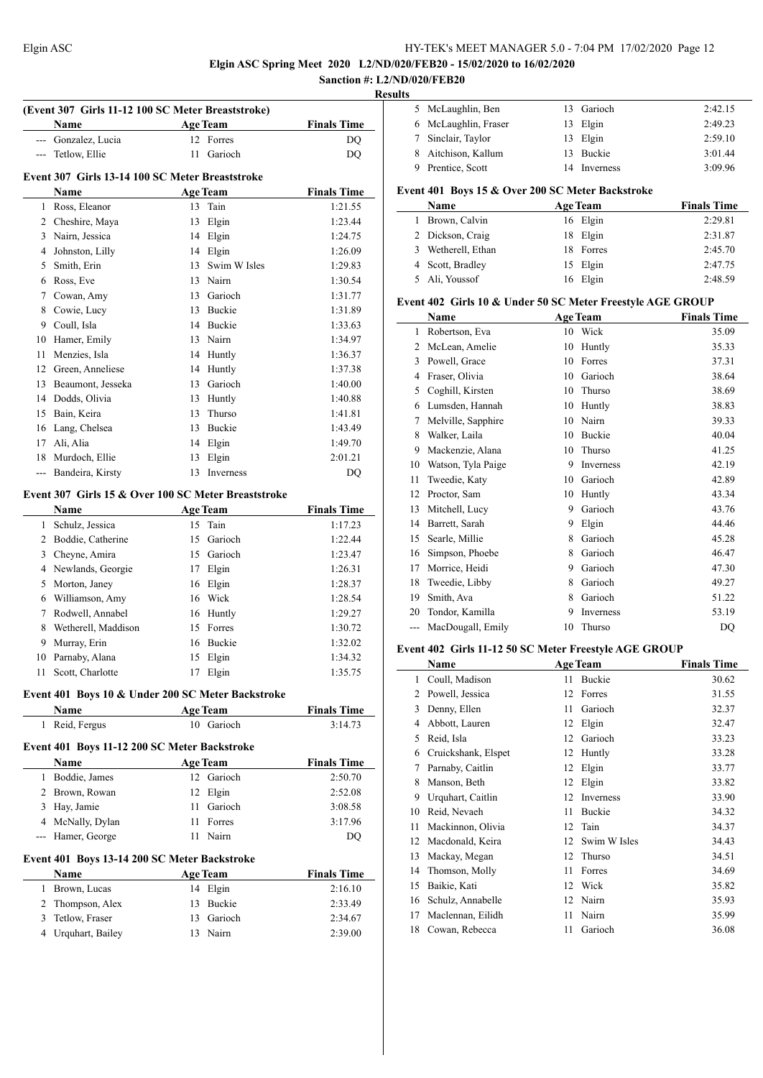**Elgin ASC Spring Meet 2020 L2/ND/020/FEB20 - 15/02/2020 to 16/02/2020**

#### **Sanction #: L2/ND/020/FEB20 Results**

 $\frac{1}{2}$ 

|    | (Event 307 Girls 11-12 100 SC Meter Breaststroke)<br>Name |              | <b>Age Team</b>             | <b>Finals Time</b>            |
|----|-----------------------------------------------------------|--------------|-----------------------------|-------------------------------|
|    | --- Gonzalez, Lucia                                       | $12^{\circ}$ | Forres                      | DQ                            |
|    | --- Tetlow, Ellie                                         | 11           | Garioch                     | DQ                            |
|    |                                                           |              |                             |                               |
|    | Event 307 Girls 13-14 100 SC Meter Breaststroke           |              |                             |                               |
|    | Name                                                      |              | <b>Age Team</b>             | <b>Finals Time</b>            |
|    | 1 Ross, Eleanor                                           |              | 13 Tain                     | 1:21.55                       |
|    | 2 Cheshire, Maya                                          | 13           | Elgin                       | 1:23.44                       |
|    | 3 Nairn, Jessica                                          |              | 14 Elgin                    | 1:24.75                       |
|    | 4 Johnston, Lilly                                         |              | 14 Elgin                    | 1:26.09                       |
|    | 5 Smith, Erin                                             | 13           | Swim W Isles                | 1:29.83                       |
|    | 6 Ross, Eve                                               |              | 13 Nairn                    | 1:30.54                       |
|    | 7 Cowan, Amy                                              |              | 13 Garioch                  | 1:31.77                       |
| 8  | Cowie, Lucy                                               |              | 13 Buckie                   | 1:31.89                       |
|    | 9 Coull, Isla                                             |              | 14 Buckie                   | 1:33.63                       |
| 10 | Hamer, Emily                                              |              | 13 Nairn                    | 1:34.97                       |
| 11 | Menzies, Isla                                             |              | 14 Huntly                   | 1:36.37                       |
|    | 12 Green, Anneliese                                       |              | 14 Huntly                   | 1:37.38                       |
|    | 13 Beaumont, Jesseka                                      |              | 13 Garioch                  | 1:40.00                       |
|    | 14 Dodds, Olivia                                          |              | 13 Huntly                   | 1:40.88                       |
|    | 15 Bain, Keira                                            |              | 13 Thurso                   | 1:41.81                       |
|    | 16 Lang, Chelsea                                          |              | 13 Buckie                   | 1:43.49                       |
|    | 17 Ali, Alia                                              |              | 14 Elgin                    | 1:49.70                       |
|    | 18 Murdoch, Ellie                                         | 13           | Elgin                       | 2:01.21                       |
|    | --- Bandeira, Kirsty                                      | 13           | Inverness                   | DQ                            |
|    | Event 307 Girls 15 & Over 100 SC Meter Breaststroke       |              |                             |                               |
|    | Name                                                      |              | <b>Age Team</b>             | <b>Finals Time</b>            |
| 1  | Schulz, Jessica                                           | 15           | Tain                        | 1:17.23                       |
|    | 2 Boddie, Catherine                                       | 15           | Garioch                     | 1:22.44                       |
|    | 3 Cheyne, Amira                                           |              | 15 Garioch                  | 1:23.47                       |
|    |                                                           |              |                             | 1:26.31                       |
|    | 4 Newlands, Georgie                                       |              | 17 Elgin                    |                               |
|    | 5 Morton, Janey                                           |              | 16 Elgin                    | 1:28.37                       |
|    | 6 Williamson, Amy                                         |              | 16 Wick                     | 1:28.54                       |
|    | 7 Rodwell, Annabel                                        |              | 16 Huntly                   | 1:29.27                       |
|    | 8 Wetherell, Maddison                                     |              | 15 Forres                   | 1:30.72                       |
|    | 9 Murray, Erin                                            |              | 16 Buckie                   | 1:32.02                       |
|    | 10 Parnaby, Alana                                         |              | 15 Elgin                    | 1:34.32                       |
|    | 11 Scott, Charlotte                                       |              | 17 Elgin                    | 1:35.75                       |
|    | Event 401 Boys 10 & Under 200 SC Meter Backstroke         |              |                             |                               |
|    | Name                                                      |              | <b>Age Team</b>             | <b>Finals Time</b>            |
|    | 1 Reid, Fergus                                            |              | 10 Garioch                  | 3:14.73                       |
|    | Event 401 Boys 11-12 200 SC Meter Backstroke              |              |                             |                               |
|    | Name                                                      |              | <b>Age Team</b>             | <b>Finals Time</b>            |
|    | 1 Boddie, James                                           |              | 12 Garioch                  | 2:50.70                       |
|    | 2 Brown, Rowan                                            |              | 12 Elgin                    | 2:52.08                       |
|    | 3 Hay, Jamie                                              |              | 11 Garioch                  | 3:08.58                       |
|    | 4 McNally, Dylan                                          |              | 11 Forres                   | 3:17.96                       |
|    | --- Hamer, George                                         |              | 11 Nairn                    | DQ                            |
|    |                                                           |              |                             |                               |
|    | Event 401 Boys 13-14 200 SC Meter Backstroke              |              |                             |                               |
|    | Name<br>1 Brown, Lucas                                    |              | <b>Age Team</b><br>14 Elgin | <b>Finals Time</b><br>2:16.10 |
|    |                                                           | 13           |                             |                               |
|    | 2 Thompson, Alex                                          |              | Buckie                      | 2:33.49                       |
| 3  | Tetlow, Fraser                                            |              | 13 Garioch<br>13 Nairn      | 2:34.67                       |
| 4  | Urquhart, Bailey                                          |              |                             | 2:39.00                       |

| 5 McLaughlin, Ben    |     | 13 Garioch    | 2:42.15 |
|----------------------|-----|---------------|---------|
| 6 McLaughlin, Fraser |     | 13 Elgin      | 2:49.23 |
| 7 Sinclair, Taylor   |     | 13 Elgin      | 2:59.10 |
| 8 Aitchison, Kallum  | 13. | <b>Buckie</b> | 3:01.44 |
| 9 Prentice, Scott    |     | Inverness     | 3:09.96 |

#### **Event 401 Boys 15 & Over 200 SC Meter Backstroke**

| <b>Name</b>         |  | <b>Age Team</b> | <b>Finals Time</b> |
|---------------------|--|-----------------|--------------------|
| Brown, Calvin<br>1. |  | 16 Elgin        | 2:29.81            |
| 2 Dickson, Craig    |  | 18 Elgin        | 2:31.87            |
| 3 Wetherell, Ethan  |  | 18 Forres       | 2:45.70            |
| 4 Scott, Bradley    |  | 15 Elgin        | 2:47.75            |
| 5 Ali, Youssof      |  | 16 Elgin        | 2:48.59            |

#### **Event 402 Girls 10 & Under 50 SC Meter Freestyle AGE GROUP**

| Name |                    |    | <b>Age Team</b> | <b>Finals Time</b> |
|------|--------------------|----|-----------------|--------------------|
| 1    | Robertson, Eva     | 10 | Wick            | 35.09              |
| 2    | McLean, Amelie     | 10 | Huntly          | 35.33              |
| 3    | Powell, Grace      | 10 | Forres          | 37.31              |
| 4    | Fraser, Olivia     | 10 | Garioch         | 38.64              |
| 5    | Coghill, Kirsten   | 10 | Thurso          | 38.69              |
| 6    | Lumsden, Hannah    | 10 | Huntly          | 38.83              |
| 7    | Melville, Sapphire | 10 | Nairn           | 39.33              |
| 8    | Walker, Laila      | 10 | <b>Buckie</b>   | 40.04              |
| 9    | Mackenzie, Alana   | 10 | Thurso          | 41.25              |
| 10   | Watson, Tyla Paige | 9  | Inverness       | 42.19              |
| 11   | Tweedie, Katy      | 10 | Garioch         | 42.89              |
| 12   | Proctor, Sam       | 10 | Huntly          | 43.34              |
| 13   | Mitchell, Lucy     | 9  | Garioch         | 43.76              |
| 14   | Barrett, Sarah     | 9  | Elgin           | 44.46              |
| 15   | Searle, Millie     | 8  | Garioch         | 45.28              |
| 16   | Simpson, Phoebe    | 8  | Garioch         | 46.47              |
| 17   | Morrice, Heidi     | 9  | Garioch         | 47.30              |
| 18   | Tweedie, Libby     | 8  | Garioch         | 49.27              |
| 19   | Smith, Ava         | 8  | Garioch         | 51.22              |
| 20   | Tondor, Kamilla    | 9  | Inverness       | 53.19              |
| ---  | MacDougall, Emily  | 10 | Thurso          | DQ                 |

#### **Event 402 Girls 11-12 50 SC Meter Freestyle AGE GROUP**

|    | Name                |    | <b>Age Team</b> | <b>Finals Time</b> |
|----|---------------------|----|-----------------|--------------------|
| 1  | Coull, Madison      | 11 | Buckie          | 30.62              |
| 2  | Powell, Jessica     | 12 | Forres          | 31.55              |
| 3  | Denny, Ellen        | 11 | Garioch         | 32.37              |
| 4  | Abbott, Lauren      | 12 | Elgin           | 32.47              |
| 5  | Reid, Isla          | 12 | Garioch         | 33.23              |
| 6  | Cruickshank, Elspet | 12 | Huntly          | 33.28              |
| 7  | Parnaby, Caitlin    | 12 | Elgin           | 33.77              |
| 8  | Manson, Beth        | 12 | Elgin           | 33.82              |
| 9  | Urquhart, Caitlin   | 12 | Inverness       | 33.90              |
| 10 | Reid, Nevaeh        | 11 | Buckie          | 34.32              |
| 11 | Mackinnon, Olivia   | 12 | Tain            | 34.37              |
| 12 | Macdonald, Keira    | 12 | Swim W Isles    | 34.43              |
| 13 | Mackay, Megan       | 12 | Thurso          | 34.51              |
| 14 | Thomson, Molly      | 11 | Forres          | 34.69              |
| 15 | Baikie, Kati        | 12 | Wick            | 35.82              |
| 16 | Schulz, Annabelle   | 12 | Nairn           | 35.93              |
| 17 | Maclennan, Eilidh   | 11 | Nairn           | 35.99              |
| 18 | Cowan, Rebecca      | 11 | Garioch         | 36.08              |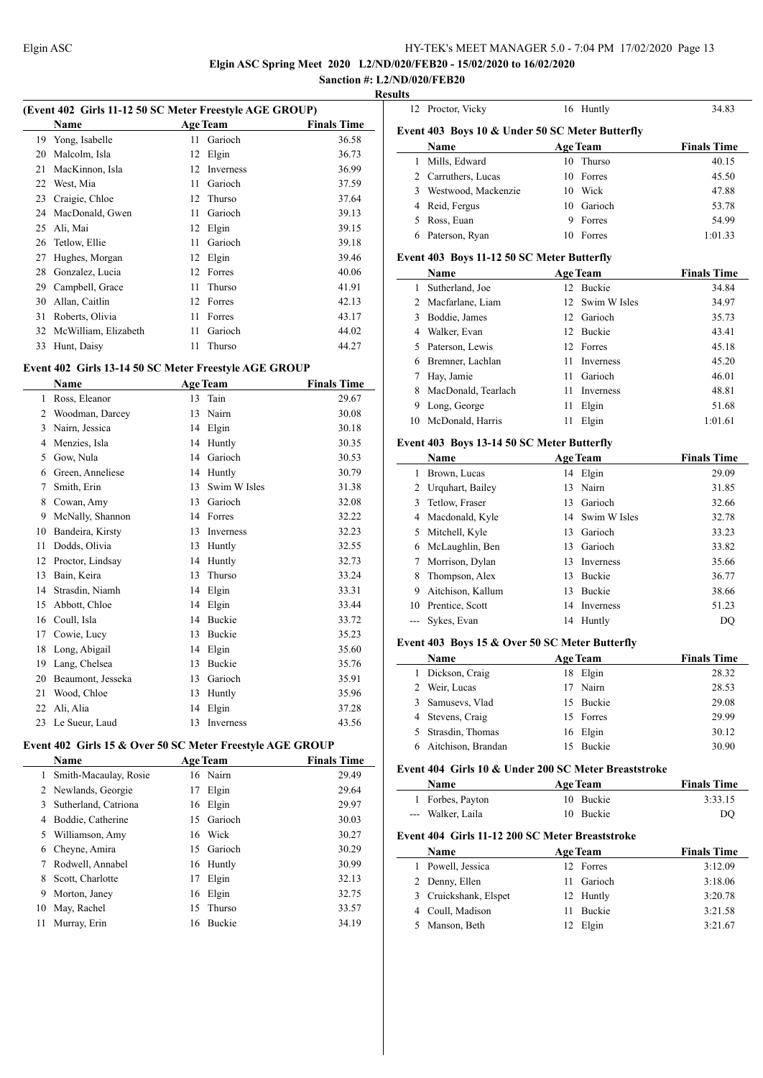**Elgin ASC Spring Meet 2020 L2/ND/020/FEB20 - 15/02/2020 to 16/02/2020**

#### **Sanction #: L2/ND/020/FEB20 Results**

|      | (Event 402 Girls 11-12 50 SC Meter Freestyle AGE GROUP) |             |
|------|---------------------------------------------------------|-------------|
| Namo | $A_{\alpha\alpha}$ Toom                                 | Finale Time |

|    | Name                 |    | <b>Age Team</b>  | <b>Finals Time</b> |
|----|----------------------|----|------------------|--------------------|
| 19 | Yong, Isabelle       | 11 | Garioch          | 36.58              |
| 20 | Malcolm, Isla        | 12 | Elgin            | 36.73              |
| 21 | MacKinnon, Isla      | 12 | <b>Inverness</b> | 36.99              |
| 22 | West, Mia            | 11 | Garioch          | 37.59              |
| 23 | Craigie, Chloe       |    | 12 Thurso        | 37.64              |
| 24 | MacDonald, Gwen      | 11 | Garioch          | 39.13              |
| 25 | Ali, Mai             | 12 | Elgin            | 39.15              |
| 26 | Tetlow, Ellie        | 11 | Garioch          | 39.18              |
| 27 | Hughes, Morgan       | 12 | Elgin            | 39.46              |
| 28 | Gonzalez, Lucia      | 12 | Forres           | 40.06              |
| 29 | Campbell, Grace      | 11 | <b>Thurso</b>    | 41.91              |
| 30 | Allan, Caitlin       | 12 | Forres           | 42.13              |
| 31 | Roberts, Olivia      | 11 | Forres           | 43.17              |
| 32 | McWilliam, Elizabeth | 11 | Garioch          | 44.02              |
| 33 | Hunt, Daisy          | 11 | Thurso           | 44.27              |

# **Event 402 Girls 13-14 50 SC Meter Freestyle AGE GROUP**

|    | Name              |    | <b>Age Team</b> | <b>Finals Time</b> |
|----|-------------------|----|-----------------|--------------------|
| 1  | Ross, Eleanor     | 13 | Tain            | 29.67              |
| 2  | Woodman, Darcey   | 13 | Nairn           | 30.08              |
| 3  | Nairn, Jessica    | 14 | Elgin           | 30.18              |
| 4  | Menzies, Isla     | 14 | Huntly          | 30.35              |
| 5  | Gow, Nula         | 14 | Garioch         | 30.53              |
| 6  | Green, Anneliese  | 14 | Huntly          | 30.79              |
| 7  | Smith, Erin       | 13 | Swim W Isles    | 31.38              |
| 8  | Cowan, Amy        | 13 | Garioch         | 32.08              |
| 9  | McNally, Shannon  | 14 | Forres          | 32.22              |
| 10 | Bandeira, Kirsty  | 13 | Inverness       | 32.23              |
| 11 | Dodds, Olivia     | 13 | Huntly          | 32.55              |
| 12 | Proctor, Lindsay  | 14 | Huntly          | 32.73              |
| 13 | Bain, Keira       | 13 | Thurso          | 33.24              |
| 14 | Strasdin, Niamh   | 14 | Elgin           | 33.31              |
| 15 | Abbott, Chloe     | 14 | Elgin           | 33.44              |
| 16 | Coull, Isla       | 14 | <b>Buckie</b>   | 33.72              |
| 17 | Cowie, Lucy       | 13 | Buckie          | 35.23              |
| 18 | Long, Abigail     | 14 | Elgin           | 35.60              |
| 19 | Lang, Chelsea     | 13 | Buckie          | 35.76              |
| 20 | Beaumont, Jesseka | 13 | Garioch         | 35.91              |
| 21 | Wood, Chloe       | 13 | Huntly          | 35.96              |
| 22 | Ali, Alia         | 14 | Elgin           | 37.28              |
| 23 | Le Sueur, Laud    | 13 | Inverness       | 43.56              |

# **Event 402 Girls 15 & Over 50 SC Meter Freestyle AGE GROUP**

 $\overline{a}$ 

|    | Name                  |    | <b>Age Team</b> | <b>Finals Time</b> |
|----|-----------------------|----|-----------------|--------------------|
| 1  | Smith-Macaulay, Rosie |    | 16 Nairn        | 29.49              |
|    | 2 Newlands, Georgie   | 17 | Elgin           | 29.64              |
| 3  | Sutherland, Catriona  | 16 | Elgin           | 29.97              |
| 4  | Boddie, Catherine     | 15 | Garioch         | 30.03              |
| 5. | Williamson, Amy       |    | 16 Wick         | 30.27              |
| 6  | Cheyne, Amira         | 15 | Garioch         | 30.29              |
|    | Rodwell, Annabel      |    | 16 Huntly       | 30.99              |
| 8  | Scott, Charlotte      | 17 | Elgin           | 32.13              |
| 9  | Morton, Janey         | 16 | Elgin           | 32.75              |
| 10 | May, Rachel           | 15 | Thurso          | 33.57              |
| 11 | Murray, Erin          | 16 | <b>Buckie</b>   | 34.19              |
|    |                       |    |                 |                    |

| Event 403 Boys 10 & Under 50 SC Meter Butterfly |                                            |    |                  |                    |  |
|-------------------------------------------------|--------------------------------------------|----|------------------|--------------------|--|
|                                                 | Name                                       |    | <b>Age Team</b>  | <b>Finals Time</b> |  |
| 1                                               | Mills, Edward                              | 10 | Thurso           | 40.15              |  |
| 2                                               | Carruthers, Lucas                          | 10 | Forres           | 45.50              |  |
| 3                                               | Westwood, Mackenzie                        | 10 | Wick             | 47.88              |  |
| 4                                               | Reid, Fergus                               | 10 | Garioch          | 53.78              |  |
| 5                                               | Ross, Euan                                 | 9  | Forres           | 54.99              |  |
| 6                                               | Paterson, Ryan                             | 10 | Forres           | 1:01.33            |  |
|                                                 | Event 403 Boys 11-12 50 SC Meter Butterfly |    |                  |                    |  |
|                                                 | Name                                       |    | <b>Age Team</b>  | <b>Finals Time</b> |  |
| 1                                               | Sutherland, Joe                            | 12 | <b>Buckie</b>    | 34.84              |  |
| $\overline{c}$                                  | Macfarlane, Liam                           | 12 | Swim W Isles     | 34.97              |  |
| 3                                               | Boddie, James                              | 12 | Garioch          | 35.73              |  |
| 4                                               | Walker, Evan                               | 12 | Buckie           | 43.41              |  |
| 5                                               | Paterson, Lewis                            | 12 | Forres           | 45.18              |  |
| 6                                               | Bremner, Lachlan                           | 11 | <b>Inverness</b> | 45.20              |  |
| 7                                               | Hay, Jamie                                 | 11 | Garioch          | 46.01              |  |
| 8                                               | MacDonald, Tearlach                        | 11 | <b>Inverness</b> | 48.81              |  |
| 9                                               | Long, George                               | 11 | Elgin            | 51.68              |  |
| 10                                              | McDonald, Harris                           | 11 | Elgin            | 1:01.61            |  |

Proctor, Vicky 16 Huntly 34.83

#### **Event 403 Boys 13-14 50 SC Meter Butterfly**

|    | <b>Name</b>       |    | <b>Age Team</b> | <b>Finals Time</b> |
|----|-------------------|----|-----------------|--------------------|
| 1  | Brown, Lucas      |    | 14 Elgin        | 29.09              |
| 2  | Urquhart, Bailey  |    | 13 Nairn        | 31.85              |
| 3  | Tetlow, Fraser    | 13 | Garioch         | 32.66              |
| 4  | Macdonald, Kyle   |    | 14 Swim W Isles | 32.78              |
| 5  | Mitchell, Kyle    |    | 13 Garioch      | 33.23              |
| 6  | McLaughlin, Ben   |    | 13 Garioch      | 33.82              |
| 7  | Morrison, Dylan   | 13 | Inverness       | 35.66              |
| 8  | Thompson, Alex    | 13 | Buckie          | 36.77              |
| 9  | Aitchison, Kallum | 13 | <b>Buckie</b>   | 38.66              |
| 10 | Prentice, Scott   |    | 14 Inverness    | 51.23              |
|    | Sykes, Evan       |    | 14 Huntly       | DO                 |

#### **Event 403 Boys 15 & Over 50 SC Meter Butterfly**

 $\overline{\phantom{a}}$ 

 $\overline{a}$ 

| <b>Name</b>        | <b>Age Team</b> | <b>Finals Time</b> |
|--------------------|-----------------|--------------------|
| Dickson, Craig     | Elgin<br>18     | 28.32              |
| Weir, Lucas        | 17 Nairn        | 28.53              |
| Samusevs, Vlad     | 15 Buckie       | 29.08              |
| 4 Stevens, Craig   | 15 Forres       | 29.99              |
| 5 Strasdin, Thomas | 16 Elgin        | 30.12              |
| Aitchison, Brandan | <b>Buckie</b>   | 30.90              |

#### **Event 404 Girls 10 & Under 200 SC Meter Breaststroke**

| <b>Name</b>       | <b>Age Team</b> | <b>Finals Time</b> |
|-------------------|-----------------|--------------------|
| 1 Forbes, Payton  | 10 Buckie       | 3:33.15            |
| --- Walker, Laila | 10 Buckie       | DO                 |

#### **Event 404 Girls 11-12 200 SC Meter Breaststroke**

| <b>Name</b>           |  | <b>Age Team</b> | <b>Finals Time</b> |
|-----------------------|--|-----------------|--------------------|
| 1 Powell, Jessica     |  | 12 Forres       | 3:12.09            |
| 2 Denny, Ellen        |  | 11 Garioch      | 3:18.06            |
| 3 Cruickshank, Elspet |  | 12 Huntly       | 3:20.78            |
| 4 Coull, Madison      |  | 11 Buckie       | 3:21.58            |
| 5 Manson, Beth        |  | 12 Elgin        | 3:21.67            |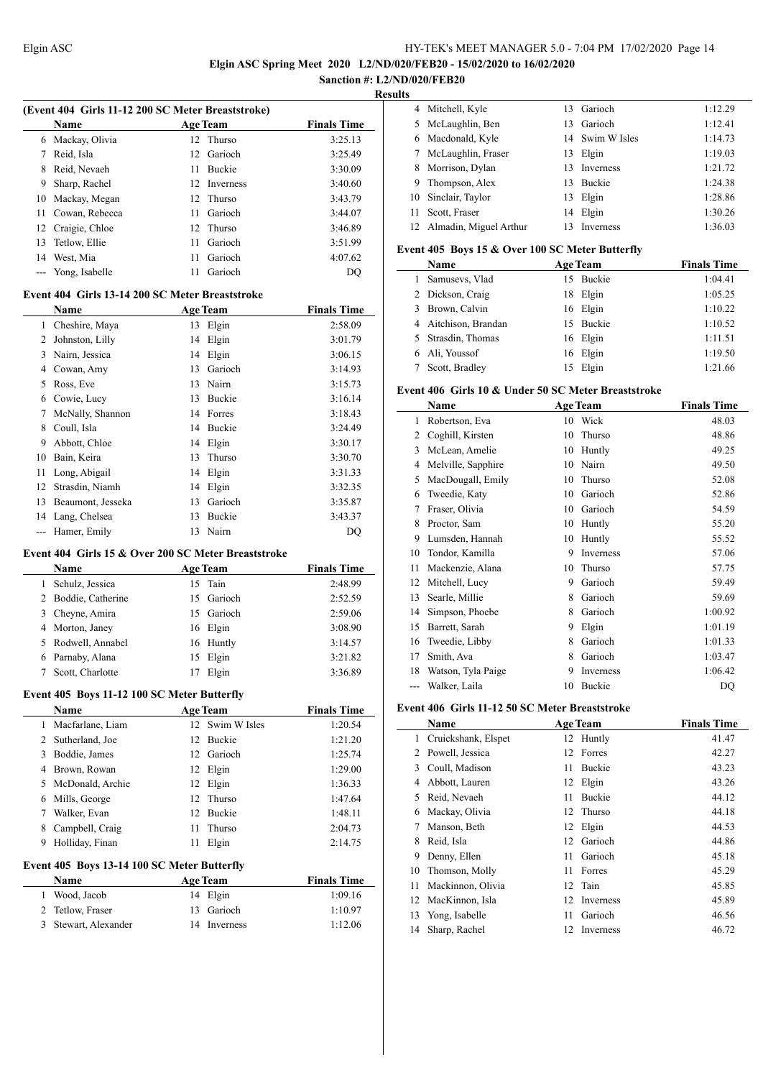**Elgin ASC Spring Meet 2020 L2/ND/020/FEB20 - 15/02/2020 to 16/02/2020**

#### **Sanction #: L2/ND/020/FEB20 Results**

 $\overline{\phantom{a}}$ 

 $\overline{a}$ 

|    | 4 Mitchell, Kyle          | 13  | Garioch          | 1:12.29 |
|----|---------------------------|-----|------------------|---------|
|    | 5 McLaughlin, Ben         | 13  | Garioch          | 1:12.41 |
| 6  | Macdonald, Kyle           |     | 14 Swim W Isles  | 1:14.73 |
|    | McLaughlin, Fraser        | 13  | Elgin            | 1:19.03 |
| 8  | Morrison, Dylan           | 13. | <b>Inverness</b> | 1:21.72 |
| 9  | Thompson, Alex            | 13. | <b>Buckie</b>    | 1:24.38 |
|    | 10 Sinclair, Taylor       | 13  | Elgin            | 1:28.86 |
| 11 | Scott, Fraser             | 14  | Elgin            | 1:30.26 |
|    | 12 Almadin, Miguel Arthur | 13  | <b>Inverness</b> | 1:36.03 |

#### **Event 405 Boys 15 & Over 100 SC Meter Butterfly**

|   | Name                 | <b>Age Team</b> | <b>Finals Time</b> |
|---|----------------------|-----------------|--------------------|
|   | Samusevs, Vlad       | 15 Buckie       | 1:04.41            |
|   | 2 Dickson, Craig     | 18 Elgin        | 1:05.25            |
| 3 | Brown, Calvin        | 16 Elgin        | 1:10.22            |
|   | 4 Aitchison, Brandan | 15 Buckie       | 1:10.52            |
|   | 5 Strasdin, Thomas   | 16 Elgin        | 1:11.51            |
| 6 | Ali, Youssof         | 16 Elgin        | 1:19.50            |
|   | Scott, Bradley       | 15 Elgin        | 1:21.66            |

#### **Event 406 Girls 10 & Under 50 SC Meter Breaststroke**

|     | Name               |    | <b>Age Team</b> | <b>Finals Time</b> |
|-----|--------------------|----|-----------------|--------------------|
| 1   | Robertson, Eva     | 10 | Wick            | 48.03              |
| 2   | Coghill, Kirsten   | 10 | Thurso          | 48.86              |
| 3   | McLean, Amelie     | 10 | Huntly          | 49.25              |
| 4   | Melville, Sapphire | 10 | Nairn           | 49.50              |
| 5   | MacDougall, Emily  | 10 | Thurso          | 52.08              |
| 6   | Tweedie, Katy      | 10 | Garioch         | 52.86              |
| 7   | Fraser, Olivia     | 10 | Garioch         | 54.59              |
| 8   | Proctor, Sam       | 10 | Huntly          | 55.20              |
| 9   | Lumsden, Hannah    | 10 | Huntly          | 55.52              |
| 10  | Tondor, Kamilla    | 9  | Inverness       | 57.06              |
| 11  | Mackenzie, Alana   | 10 | Thurso          | 57.75              |
| 12  | Mitchell, Lucy     | 9  | Garioch         | 59.49              |
| 13  | Searle, Millie     | 8  | Garioch         | 59.69              |
| 14  | Simpson, Phoebe    | 8  | Garioch         | 1:00.92            |
| 15  | Barrett, Sarah     | 9  | Elgin           | 1:01.19            |
| 16  | Tweedie, Libby     | 8  | Garioch         | 1:01.33            |
| 17  | Smith, Ava         | 8  | Garioch         | 1:03.47            |
| 18  | Watson, Tyla Paige | 9  | Inverness       | 1:06.42            |
| --- | Walker, Laila      | 10 | Buckie          | DO                 |

#### **Event 406 Girls 11-12 50 SC Meter Breaststroke**

|    | Name                | <b>Age Team</b> |               | <b>Finals Time</b> |
|----|---------------------|-----------------|---------------|--------------------|
| 1  | Cruickshank, Elspet |                 | 12 Huntly     | 41.47              |
| 2  | Powell, Jessica     | 12              | Forres        | 42.27              |
| 3  | Coull, Madison      | 11              | <b>Buckie</b> | 43.23              |
| 4  | Abbott, Lauren      | 12              | Elgin         | 43.26              |
| 5  | Reid, Nevaeh        | 11              | <b>Buckie</b> | 44.12              |
| 6  | Mackay, Olivia      |                 | 12 Thurso     | 44.18              |
| 7  | Manson, Beth        | 12              | Elgin         | 44.53              |
| 8  | Reid, Isla          | 12              | Garioch       | 44.86              |
| 9  | Denny, Ellen        | 11              | Garioch       | 45.18              |
| 10 | Thomson, Molly      | 11              | Forres        | 45.29              |
| 11 | Mackinnon, Olivia   | 12              | Tain          | 45.85              |
| 12 | MacKinnon, Isla     | 12              | Inverness     | 45.89              |
| 13 | Yong, Isabelle      | 11              | Garioch       | 46.56              |
| 14 | Sharp, Rachel       | 12              | Inverness     | 46.72              |

|                | <b>Name</b>                                                                                             |    | <b>Age Team</b>  | <b>Finals Time</b> |
|----------------|---------------------------------------------------------------------------------------------------------|----|------------------|--------------------|
| 6              | Mackay, Olivia                                                                                          | 12 | Thurso           | 3:25.13            |
| 7              | Reid, Isla                                                                                              | 12 | Garioch          | 3:25.49            |
| 8              | Reid, Nevaeh                                                                                            | 11 | <b>Buckie</b>    | 3:30.09            |
| 9              | Sharp, Rachel                                                                                           | 12 | <b>Inverness</b> | 3:40.60            |
| 10             | Mackay, Megan                                                                                           | 12 | Thurso           | 3:43.79            |
| 11             | Cowan, Rebecca                                                                                          | 11 | Garioch          | 3:44.07            |
| 12             | Craigie, Chloe                                                                                          | 12 | Thurso           | 3:46.89            |
| 13             | Tetlow, Ellie                                                                                           | 11 | Garioch          | 3:51.99            |
| 14             | West, Mia                                                                                               | 11 | Garioch          | 4:07.62            |
| ---            | Yong, Isabelle                                                                                          | 11 | Garioch          | DQ                 |
|                | Event 404 Girls 13-14 200 SC Meter Breaststroke                                                         |    |                  |                    |
|                | <b>Name</b>                                                                                             |    | <b>Age Team</b>  | <b>Finals Time</b> |
| 1              | Cheshire, Maya                                                                                          | 13 | Elgin            | 2:58.09            |
| $\overline{2}$ | Johnston, Lilly                                                                                         | 14 | Elgin            | 3:01.79            |
| 3              | Nairn, Jessica                                                                                          | 14 | Elgin            | 3:06.15            |
| 4              | Cowan, Amy                                                                                              | 13 | Garioch          | 3:14.93            |
| 5              | Ross, Eve                                                                                               | 13 | Nairn            | 3:15.73            |
| 6              | Cowie, Lucy                                                                                             | 13 | <b>Buckie</b>    | 3:16.14            |
| 7              | McNally, Shannon                                                                                        | 14 | Forres           | 3:18.43            |
| 8              | Coull, Isla                                                                                             | 14 | Buckie           | 3:24.49            |
| 9              | Abbott, Chloe                                                                                           | 14 | Elgin            | 3:30.17            |
| 10             | Bain, Keira                                                                                             | 13 | Thurso           | 3:30.70            |
| 11             | Long, Abigail                                                                                           | 14 | Elgin            | 3:31.33            |
| 12             | Strasdin, Niamh                                                                                         | 14 | Elgin            | 3:32.35            |
| 13             | Beaumont, Jesseka                                                                                       | 13 | Garioch          | 3:35.87            |
| 14             | Lang, Chelsea                                                                                           | 13 | Buckie           | 3:43.37            |
| ---            | Hamer, Emily                                                                                            | 13 | Nairn            | <b>DQ</b>          |
|                | $F_{\text{start}}$ 404 $G_{\text{right}}$ 45.0 $\Omega_{\text{right}}$ 400.861 Meter $D_{\text{right}}$ |    |                  |                    |

#### **Event 404 Girls 15 & Over 200 SC Meter Breaststroke**

**(Event 404 Girls 11-12 200 SC Meter Breaststroke)**

| <b>Name</b>         | <b>Age Team</b> | <b>Finals Time</b> |
|---------------------|-----------------|--------------------|
| Schulz, Jessica     | 15 Tain         | 2:48.99            |
| 2 Boddie, Catherine | 15 Garioch      | 2:52.59            |
| 3 Cheyne, Amira     | 15 Garioch      | 2:59.06            |
| 4 Morton, Janey     | 16 Elgin        | 3:08.90            |
| 5 Rodwell, Annabel  | 16 Huntly       | 3:14.57            |
| 6 Parnaby, Alana    | 15 Elgin        | 3:21.82            |
| Scott, Charlotte    | Elgin           | 3:36.89            |

# **Event 405 Boys 11-12 100 SC Meter Butterfly**

|                                                      | <b>Name</b>        |    | <b>Age Team</b> | <b>Finals Time</b> |  |  |  |
|------------------------------------------------------|--------------------|----|-----------------|--------------------|--|--|--|
| 1                                                    | Macfarlane, Liam   |    | 12 Swim W Isles | 1:20.54            |  |  |  |
|                                                      | 2 Sutherland, Joe  |    | 12 Buckie       | 1:21.20            |  |  |  |
| 3                                                    | Boddie, James      |    | 12 Garioch      | 1:25.74            |  |  |  |
| 4                                                    | Brown, Rowan       |    | 12 Elgin        | 1:29.00            |  |  |  |
|                                                      | 5 McDonald, Archie |    | 12 Elgin        | 1:36.33            |  |  |  |
| 6                                                    | Mills, George      |    | 12 Thurso       | 1:47.64            |  |  |  |
| 7                                                    | Walker, Evan       |    | 12 Buckie       | 1:48.11            |  |  |  |
| 8                                                    | Campbell, Craig    | 11 | Thurso          | 2:04.73            |  |  |  |
| 9                                                    | Holliday, Finan    | 11 | Elgin           | 2:14.75            |  |  |  |
| <b>Event 405. Roys 13.14.100 SC. Motor Butterfly</b> |                    |    |                 |                    |  |  |  |

### **Event 405 Boys 13-14 100 SC Meter Butterfly**

| <b>Name</b>          | <b>Age Team</b> | <b>Finals Time</b> |
|----------------------|-----------------|--------------------|
| Wood, Jacob          | 14 Elgin        | 1:09.16            |
| 2 Tetlow, Fraser     | 13 Garioch      | 1:10.97            |
| 3 Stewart, Alexander | 14 Inverness    | 1:12.06            |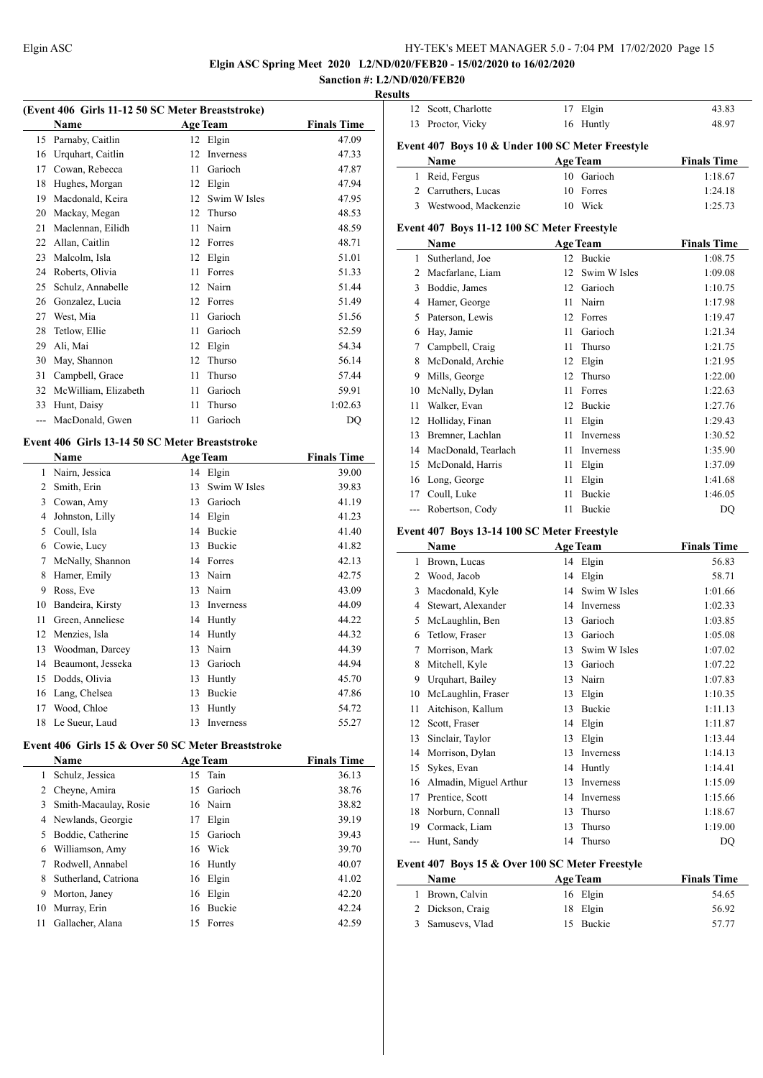**Elgin ASC Spring Meet 2020 L2/ND/020/FEB20 - 15/02/2020 to 16/02/2020**

#### **Sanction #: L2/ND/020/FEB20 Results**

| (Event 406 Girls 11-12 50 SC Meter Breaststroke) |                      |    |                 |                    |  |  |
|--------------------------------------------------|----------------------|----|-----------------|--------------------|--|--|
|                                                  | <b>Name</b>          |    | <b>Age Team</b> | <b>Finals Time</b> |  |  |
| 15                                               | Parnaby, Caitlin     |    | 12 Elgin        | 47.09              |  |  |
| 16                                               | Urquhart, Caitlin    | 12 | Inverness       | 47.33              |  |  |
| 17                                               | Cowan, Rebecca       | 11 | Garioch         | 47.87              |  |  |
| 18                                               | Hughes, Morgan       | 12 | Elgin           | 47.94              |  |  |
| 19                                               | Macdonald, Keira     | 12 | Swim W Isles    | 47.95              |  |  |
| 20                                               | Mackay, Megan        | 12 | Thurso          | 48.53              |  |  |
| 21                                               | Maclennan, Eilidh    | 11 | Nairn           | 48.59              |  |  |
| 22                                               | Allan, Caitlin       | 12 | Forres          | 48.71              |  |  |
| 23                                               | Malcolm, Isla        | 12 | Elgin           | 51.01              |  |  |
| 24                                               | Roberts, Olivia      | 11 | Forres          | 51.33              |  |  |
| 25                                               | Schulz, Annabelle    | 12 | Nairn           | 51.44              |  |  |
| 26                                               | Gonzalez, Lucia      | 12 | Forres          | 51.49              |  |  |
| 27                                               | West, Mia            | 11 | Garioch         | 51.56              |  |  |
| 28                                               | Tetlow, Ellie        | 11 | Garioch         | 52.59              |  |  |
| 29                                               | Ali, Mai             | 12 | Elgin           | 54.34              |  |  |
| 30                                               | May, Shannon         | 12 | Thurso          | 56.14              |  |  |
| 31                                               | Campbell, Grace      | 11 | Thurso          | 57.44              |  |  |
| 32                                               | McWilliam, Elizabeth | 11 | Garioch         | 59.91              |  |  |
| 33                                               | Hunt, Daisy          | 11 | Thurso          | 1:02.63            |  |  |
| $\overline{a}$                                   | MacDonald, Gwen      | 11 | Garioch         | DQ                 |  |  |
| Event 406 Girls 13-14 50 SC Meter Breaststroke   |                      |    |                 |                    |  |  |

#### **Name Age Team Finals Time**  Nairn, Jessica 14 Elgin 39.00 Smith, Erin 13 Swim W Isles 39.83 Cowan, Amy 13 Garioch 41.19 Johnston, Lilly 14 Elgin 41.23 Coull, Isla 14 Buckie 41.40 Cowie, Lucy 13 Buckie 41.82 McNally, Shannon 14 Forres 42.13 Hamer, Emily 13 Nairn 42.75 Ross, Eve 13 Nairn 43.09 Bandeira, Kirsty 13 Inverness 44.09 Green, Anneliese 14 Huntly 44.22 Menzies, Isla 14 Huntly 44.32 Woodman, Darcey 13 Nairn 44.39 Beaumont, Jesseka 13 Garioch 44.94 Dodds, Olivia 13 Huntly 45.70 Lang, Chelsea 13 Buckie 47.86 17 Wood, Chloe 13 Huntly 54.72 18 Le Sueur, Laud 13 Inverness 55.27

#### **Event 406 Girls 15 & Over 50 SC Meter Breaststroke**

|    | <b>Name</b>           |     | <b>Age Team</b> | <b>Finals Time</b> |
|----|-----------------------|-----|-----------------|--------------------|
| 1  | Schulz, Jessica       |     | 15 Tain         | 36.13              |
| 2  | Cheyne, Amira         | 15. | Garioch         | 38.76              |
| 3  | Smith-Macaulay, Rosie |     | 16 Nairn        | 38.82              |
| 4  | Newlands, Georgie     | 17  | Elgin           | 39.19              |
| 5  | Boddie, Catherine     |     | 15 Garioch      | 39.43              |
| 6  | Williamson, Amy       |     | 16 Wick         | 39.70              |
| 7  | Rodwell, Annabel      |     | 16 Huntly       | 40.07              |
| 8  | Sutherland, Catriona  |     | 16 Elgin        | 41.02              |
| 9  | Morton, Janey         | 16  | Elgin           | 42.20              |
| 10 | Murray, Erin          | 16  | <b>Buckie</b>   | 42.24              |
| 11 | Gallacher, Alana      | 15  | Forres          | 42.59              |

| 12             | Scott, Charlotte                                 | 17              | Elgin           | 43.83              |
|----------------|--------------------------------------------------|-----------------|-----------------|--------------------|
| 13             | Proctor, Vicky                                   | 16              | Huntly          | 48.97              |
|                | Event 407 Boys 10 & Under 100 SC Meter Freestyle |                 |                 |                    |
|                | Name                                             |                 | <b>Age Team</b> | <b>Finals Time</b> |
| 1              | Reid, Fergus                                     | 10              | Garioch         | 1:18.67            |
|                | 2 Carruthers, Lucas                              | 10              | Forres          | 1:24.18            |
| 3              | Westwood, Mackenzie                              | 10              | Wick            | 1:25.73            |
|                |                                                  |                 |                 |                    |
|                | Event 407 Boys 11-12 100 SC Meter Freestyle      |                 |                 |                    |
|                | Name                                             |                 | <b>Age Team</b> | <b>Finals Time</b> |
| 1              | Sutherland, Joe                                  |                 | 12 Buckie       | 1:08.75            |
| 2              | Macfarlane, Liam                                 | 12 <sub>1</sub> | Swim W Isles    | 1:09.08            |
| 3              | Boddie, James                                    | 12              | Garioch         | 1:10.75            |
| 4              | Hamer, George                                    | 11              | Nairn           | 1:17.98            |
| 5              | Paterson, Lewis                                  | 12              | Forres          | 1:19.47            |
| 6              | Hay, Jamie                                       | 11              | Garioch         | 1:21.34            |
| 7              | Campbell, Craig                                  | 11              | Thurso          | 1:21.75            |
| 8              | McDonald, Archie                                 | 12              | Elgin           | 1:21.95            |
| 9              | Mills, George                                    | 12              | Thurso          | 1:22.00            |
| 10             | McNally, Dylan                                   | 11              | Forres          | 1:22.63            |
| 11             | Walker, Evan                                     | 12              | <b>Buckie</b>   | 1:27.76            |
| 12             | Holliday, Finan                                  | 11              | Elgin           | 1:29.43            |
| 13             | Bremner, Lachlan                                 | 11              | Inverness       | 1:30.52            |
| 14             | MacDonald, Tearlach                              | 11              | Inverness       | 1:35.90            |
| 15             | McDonald, Harris                                 | 11              | Elgin           | 1:37.09            |
| 16             | Long, George                                     | 11              | Elgin           | 1:41.68            |
| 17             | Coull, Luke                                      | 11              | <b>Buckie</b>   | 1:46.05            |
| $\overline{a}$ | Robertson, Cody                                  | 11              | Buckie          | DQ                 |
|                |                                                  |                 |                 |                    |
|                | Event 407 Boys 13-14 100 SC Meter Freestyle      |                 |                 |                    |
|                | Name                                             |                 | <b>Age Team</b> | <b>Finals Time</b> |

|    | Name                   |    | <b>Age Team</b> | <b>Finals Time</b> |
|----|------------------------|----|-----------------|--------------------|
| 1  | Brown, Lucas           | 14 | Elgin           | 56.83              |
| 2  | Wood, Jacob            | 14 | Elgin           | 58.71              |
| 3  | Macdonald, Kyle        | 14 | Swim W Isles    | 1:01.66            |
| 4  | Stewart, Alexander     | 14 | Inverness       | 1:02.33            |
| 5  | McLaughlin, Ben        | 13 | Garioch         | 1:03.85            |
| 6  | Tetlow, Fraser         | 13 | Garioch         | 1:05.08            |
| 7  | Morrison, Mark         | 13 | Swim W Isles    | 1:07.02            |
| 8  | Mitchell, Kyle         | 13 | Garioch         | 1:07.22            |
| 9  | Urquhart, Bailey       | 13 | Nairn           | 1:07.83            |
| 10 | McLaughlin, Fraser     | 13 | Elgin           | 1:10.35            |
| 11 | Aitchison, Kallum      | 13 | Buckie          | 1:11.13            |
| 12 | Scott, Fraser          | 14 | Elgin           | 1:11.87            |
| 13 | Sinclair, Taylor       | 13 | Elgin           | 1:13.44            |
| 14 | Morrison, Dylan        | 13 | Inverness       | 1:14.13            |
| 15 | Sykes, Evan            | 14 | Huntly          | 1:14.41            |
| 16 | Almadin, Miguel Arthur | 13 | Inverness       | 1:15.09            |
| 17 | Prentice, Scott        | 14 | Inverness       | 1:15.66            |
| 18 | Norburn, Connall       | 13 | Thurso          | 1:18.67            |
| 19 | Cormack, Liam          | 13 | Thurso          | 1:19.00            |
|    | Hunt, Sandy            | 14 | Thurso          | DQ                 |

#### **Event 407 Boys 15 & Over 100 SC Meter Freestyle**

| <b>Name</b>      | <b>Age Team</b> | <b>Finals Time</b> |
|------------------|-----------------|--------------------|
| 1 Brown, Calvin  | 16 Elgin        | 54.65              |
| 2 Dickson, Craig | 18 Elgin        | 56.92              |
| 3 Samusevs, Vlad | 15 Buckie       | 57.77              |